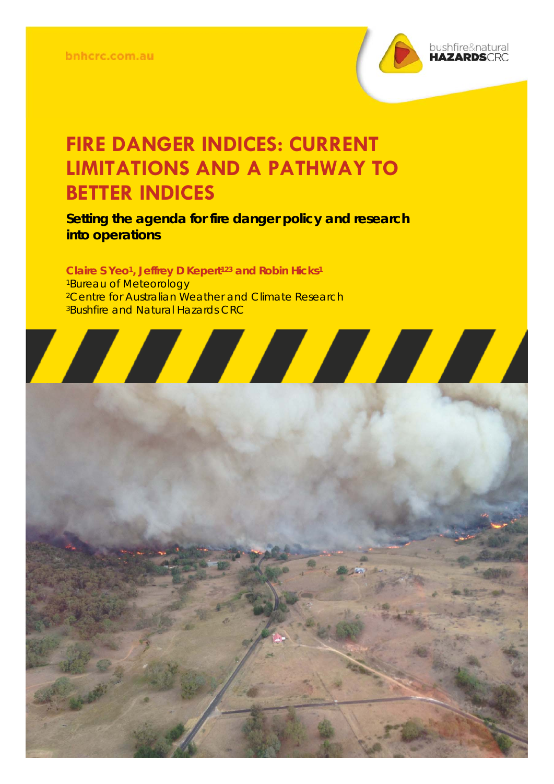

## **FIRE DANGER INDICES: CURRENT LIMITATIONS AND A PATHWAY TO BETTER INDICES**

**Setting the agenda for fire danger policy and research into operations** 

Claire S Yeo<sup>1</sup>, Jeffrey D Kepert<sup>123</sup> and Robin Hicks<sup>1</sup> 1Bureau of Meteorology <sup>2</sup>Centre for Australian Weather and Climate Research **3Bushfire and Natural Hazards CRC** 

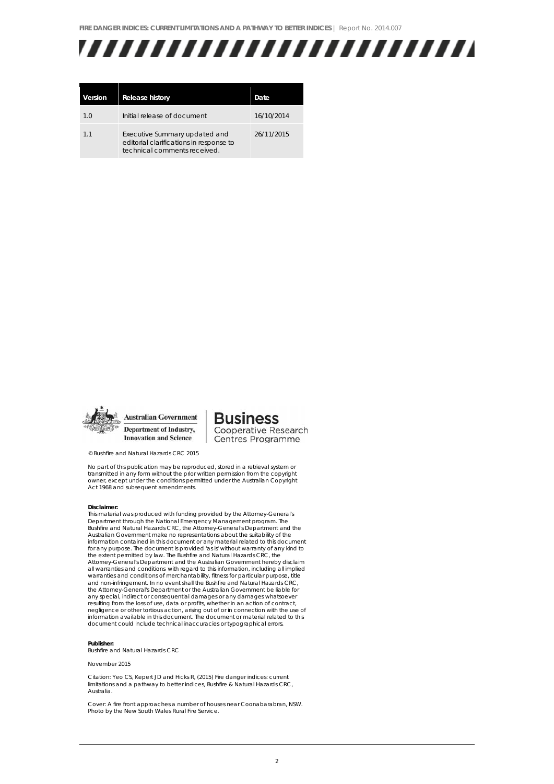

| Version | <b>Release history</b>                                                                                   | Date       |
|---------|----------------------------------------------------------------------------------------------------------|------------|
| 1.0     | Initial release of document                                                                              | 16/10/2014 |
| 1.1     | Executive Summary updated and<br>editorial clarifications in response to<br>technical comments received. | 26/11/2015 |



**Business** Cooperative Research Centres Programme

© Bushfire and Natural Hazards CRC 2015

No part of this publication may be reproduced, stored in a retrieval system or transmitted in any form without the prior written permission from the copyright owner, except under the conditions permitted under the Australian Copyright Act 1968 and subsequent amendments.

#### **Disclaimer:**

This material was produced with funding provided by the Attorney-General's<br>Department through the National Emergency Management program. The<br>Bushfire and Natural Hazards CRC, the Attorney-General's Department and the Australian Government make no representations about the suitability of the information contained in this document or any material related to this document for any purpose. The document is provided 'as is' without warranty of any kind to the extent permitted by law. The Bushfire and Natural Hazards CRC, the Attorney-General's Department and the Australian Government hereby disclaim all warranties and conditions with regard to this information, including all implied warranties and conditions of merchantability, fitness for particular purpose, title and non-infringement. In no event shall the Bushfire and Natural Hazards CRC, the Attorney-General's Department or the Australian Government be liable for any special, indirect or consequential damages or any damages whatsoever resulting from the loss of use, data or profits, whether in an action of contract, negligence or other tortious action, arising out of or in connection with the use of information available in this document. The document or material related to this document could include technical inaccuracies or typographical errors.

#### **Publisher:**

Bushfire and Natural Hazards CRC

#### November 2015

Citation: Yeo CS, Kepert JD and Hicks R, (2015) Fire danger indices: current limitations and a pathway to better indices, Bushfire & Natural Hazards CRC, Australia.

Cover: A fire front approaches a number of houses near Coonabarabran, NSW. Photo by the New South Wales Rural Fire Service.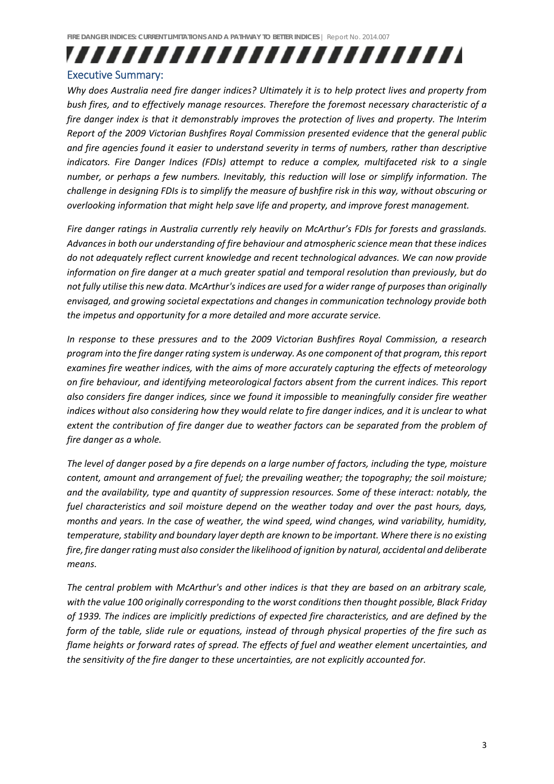### ,,,,,,,,,,,,,,,,,,,,,,,,, Executive Summary:

### *Why does Australia need fire danger indices? Ultimately it is to help protect lives and property from bush fires, and to effectively manage resources. Therefore the foremost necessary characteristic of a fire danger index is that it demonstrably improves the protection of lives and property. The Interim Report of the 2009 Victorian Bushfires Royal Commission presented evidence that the general public and fire agencies found it easier to understand severity in terms of numbers, rather than descriptive indicators. Fire Danger Indices (FDIs) attempt to reduce a complex, multifaceted risk to a single number, or perhaps a few numbers. Inevitably, this reduction will lose or simplify information. The* challenge in designing FDIs is to simplify the measure of bushfire risk in this way, without obscuring or *overlooking information that might help save life and property, and improve forest management.*

*Fire danger ratings in Australia currently rely heavily on McArthur's FDIs for forests and grasslands. Advancesin both our understanding of fire behaviour and atmospheric science mean that these indices do not adequately reflect current knowledge and recent technological advances. We can now provide information on fire danger at a much greater spatial and temporal resolution than previously, but do not fully utilise this new data. McArthur'sindices are used for a wider range of purposes than originally envisaged, and growing societal expectations and changes in communication technology provide both the impetus and opportunity for a more detailed and more accurate service.* 

*In response to these pressures and to the 2009 Victorian Bushfires Royal Commission, a research program into the fire danger rating system is underway. As one component of that program, thisreport examines fire weather indices, with the aims of more accurately capturing the effects of meteorology on fire behaviour, and identifying meteorological factors absent from the current indices. This report also considers fire danger indices, since we found it impossible to meaningfully consider fire weather* indices without also considering how they would relate to fire danger indices, and it is unclear to what *extent the contribution of fire danger due to weather factors can be separated from the problem of fire danger as a whole.*

The level of danger posed by a fire depends on a large number of factors, including the type, moisture *content, amount and arrangement of fuel; the prevailing weather; the topography; the soil moisture; and the availability, type and quantity of suppression resources. Some of these interact: notably, the fuel characteristics and soil moisture depend on the weather today and over the past hours, days, months and years. In the case of weather, the wind speed, wind changes, wind variability, humidity, temperature,stability and boundary layer depth are known to be important. Where there is no existing fire, fire dangerrating must also considerthe likelihood of ignition by natural, accidental and deliberate means.* 

*The central problem with McArthur's and other indices is that they are based on an arbitrary scale, with the value 100 originally corresponding to the worst conditions then thought possible, Black Friday of 1939. The indices are implicitly predictions of expected fire characteristics, and are defined by the* form of the table, slide rule or equations, instead of through physical properties of the fire such as *flame heights or forward rates of spread. The effects of fuel and weather element uncertainties, and the sensitivity of the fire danger to these uncertainties, are not explicitly accounted for.*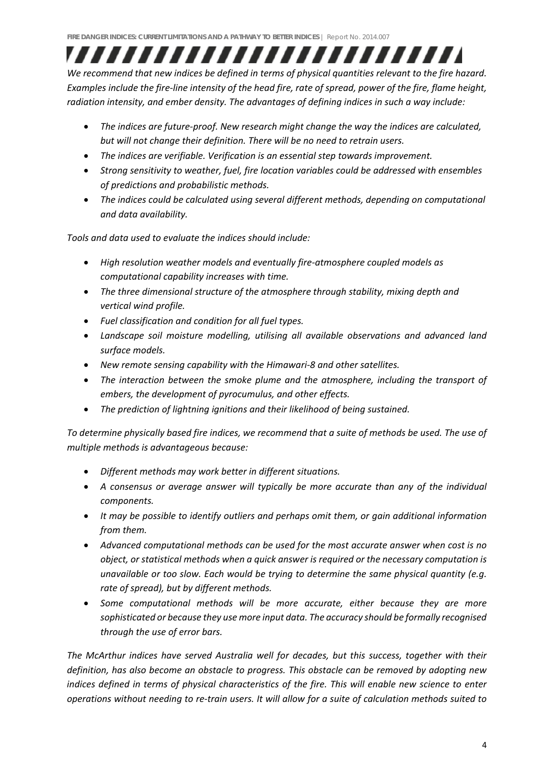,,,,,,,,,,,,,,,,,,,,,,,,, *We recommend that new indices be defined in terms of physical quantities relevant to the fire hazard.* Examples include the fire-line intensity of the head fire, rate of spread, power of the fire, flame height, *radiation intensity, and ember density. The advantages of defining indices in such a way include:* 

- *The indices are future‐proof. New research might change the way the indices are calculated, but will not change their definition. There will be no need to retrain users.*
- *The indices are verifiable. Verification is an essential step towards improvement.*
- *Strong sensitivity to weather, fuel, fire location variables could be addressed with ensembles of predictions and probabilistic methods.*
- *The indices could be calculated using several different methods, depending on computational and data availability.*

*Tools and data used to evaluate the indices should include:*

- *High resolution weather models and eventually fire‐atmosphere coupled models as computational capability increases with time.*
- *The three dimensional structure of the atmosphere through stability, mixing depth and vertical wind profile.*
- *Fuel classification and condition for all fuel types.*
- *Landscape soil moisture modelling, utilising all available observations and advanced land surface models.*
- *New remote sensing capability with the Himawari‐8 and other satellites.*
- *The interaction between the smoke plume and the atmosphere, including the transport of embers, the development of pyrocumulus, and other effects.*
- *The prediction of lightning ignitions and their likelihood of being sustained.*

To determine physically based fire indices, we recommend that a suite of methods be used. The use of *multiple methods is advantageous because:*

- *Different methods may work better in different situations.*
- *A consensus or average answer will typically be more accurate than any of the individual components.*
- *It may be possible to identify outliers and perhaps omit them, or gain additional information from them.*
- *Advanced computational methods can be used for the most accurate answer when cost is no object, or statistical methods when a quick answer is required or the necessary computation is unavailable or too slow. Each would be trying to determine the same physical quantity (e.g. rate of spread), but by different methods.*
- *Some computational methods will be more accurate, either because they are more sophisticated or because they use more input data. The accuracy should be formally recognised through the use of error bars.*

*The McArthur indices have served Australia well for decades, but this success, together with their definition, has also become an obstacle to progress. This obstacle can be removed by adopting new indices defined in terms of physical characteristics of the fire. This will enable new science to enter* operations without needing to re-train users. It will allow for a suite of calculation methods suited to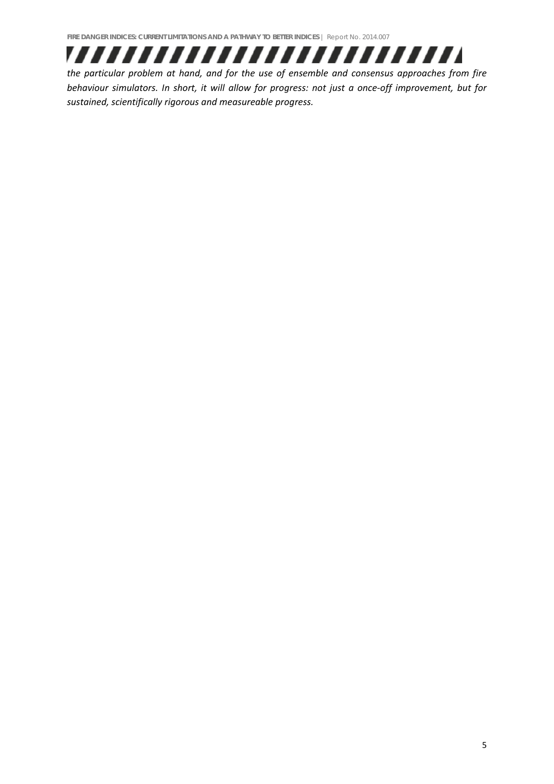

*the particular problem at hand, and for the use of ensemble and consensus approaches from fire* behaviour simulators. In short, it will allow for progress: not just a once-off improvement, but for *sustained, scientifically rigorous and measureable progress.*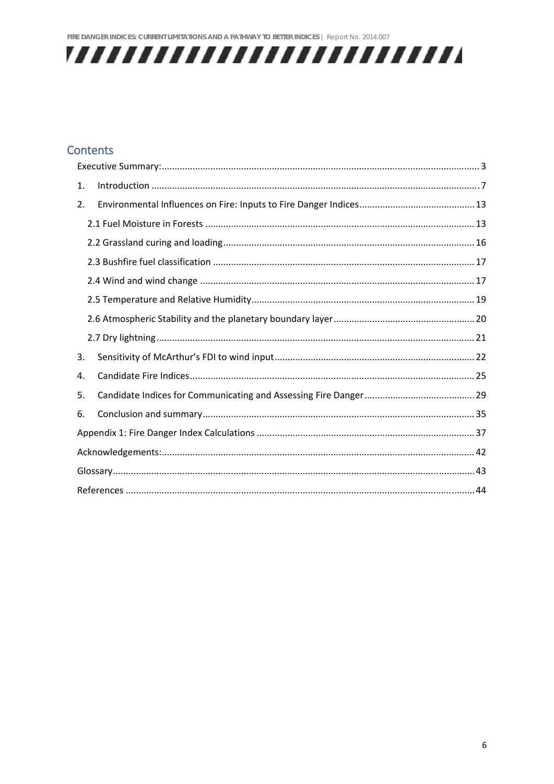

### **Contents**

| 1. |  |  |  |  |  |
|----|--|--|--|--|--|
| 2. |  |  |  |  |  |
|    |  |  |  |  |  |
|    |  |  |  |  |  |
|    |  |  |  |  |  |
|    |  |  |  |  |  |
|    |  |  |  |  |  |
|    |  |  |  |  |  |
|    |  |  |  |  |  |
| 3. |  |  |  |  |  |
| 4. |  |  |  |  |  |
| 5. |  |  |  |  |  |
| 6. |  |  |  |  |  |
|    |  |  |  |  |  |
|    |  |  |  |  |  |
|    |  |  |  |  |  |
|    |  |  |  |  |  |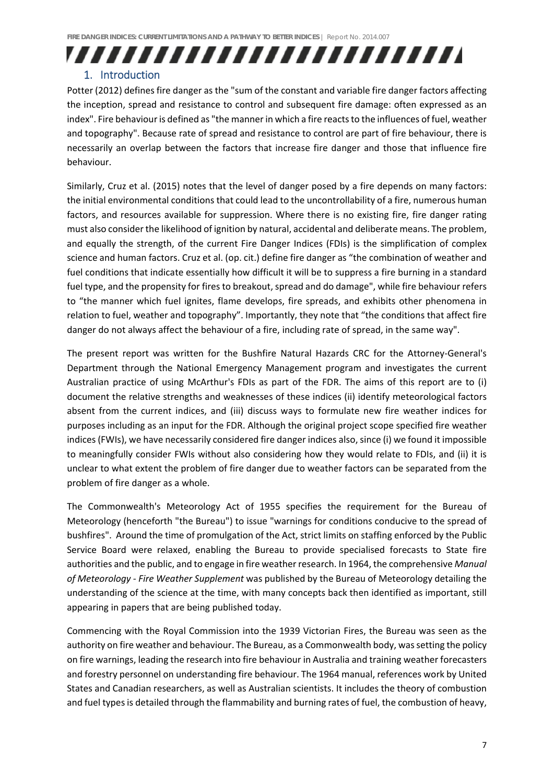# ,,,,,,,,,,,,,,,,,,,,,,,,,

#### 1. Introduction

Potter (2012) defines fire danger as the "sum of the constant and variable fire danger factors affecting the inception, spread and resistance to control and subsequent fire damage: often expressed as an index". Fire behaviour is defined as "the manner in which a fire reacts to the influences of fuel, weather and topography". Because rate of spread and resistance to control are part of fire behaviour, there is necessarily an overlap between the factors that increase fire danger and those that influence fire behaviour.

Similarly, Cruz et al. (2015) notes that the level of danger posed by a fire depends on many factors: the initial environmental conditions that could lead to the uncontrollability of a fire, numerous human factors, and resources available for suppression. Where there is no existing fire, fire danger rating must also consider the likelihood of ignition by natural, accidental and deliberate means. The problem, and equally the strength, of the current Fire Danger Indices (FDIs) is the simplification of complex science and human factors. Cruz et al. (op. cit.) define fire danger as "the combination of weather and fuel conditions that indicate essentially how difficult it will be to suppress a fire burning in a standard fuel type, and the propensity for fires to breakout, spread and do damage", while fire behaviour refers to "the manner which fuel ignites, flame develops, fire spreads, and exhibits other phenomena in relation to fuel, weather and topography". Importantly, they note that "the conditions that affect fire danger do not always affect the behaviour of a fire, including rate of spread, in the same way".

The present report was written for the Bushfire Natural Hazards CRC for the Attorney‐General's Department through the National Emergency Management program and investigates the current Australian practice of using McArthur's FDIs as part of the FDR. The aims of this report are to (i) document the relative strengths and weaknesses of these indices (ii) identify meteorological factors absent from the current indices, and (iii) discuss ways to formulate new fire weather indices for purposes including as an input for the FDR. Although the original project scope specified fire weather indices (FWIs), we have necessarily considered fire danger indices also, since (i) we found it impossible to meaningfully consider FWIs without also considering how they would relate to FDIs, and (ii) it is unclear to what extent the problem of fire danger due to weather factors can be separated from the problem of fire danger as a whole.

The Commonwealth's Meteorology Act of 1955 specifies the requirement for the Bureau of Meteorology (henceforth "the Bureau") to issue "warnings for conditions conducive to the spread of bushfires". Around the time of promulgation of the Act, strict limits on staffing enforced by the Public Service Board were relaxed, enabling the Bureau to provide specialised forecasts to State fire authorities and the public, and to engage in fire weatherresearch. In 1964, the comprehensive *Manual of Meteorology ‐ Fire Weather Supplement* was published by the Bureau of Meteorology detailing the understanding of the science at the time, with many concepts back then identified as important, still appearing in papers that are being published today.

Commencing with the Royal Commission into the 1939 Victorian Fires, the Bureau was seen as the authority on fire weather and behaviour. The Bureau, as a Commonwealth body, was setting the policy on fire warnings, leading the research into fire behaviour in Australia and training weather forecasters and forestry personnel on understanding fire behaviour. The 1964 manual, references work by United States and Canadian researchers, as well as Australian scientists. It includes the theory of combustion and fuel types is detailed through the flammability and burning rates of fuel, the combustion of heavy,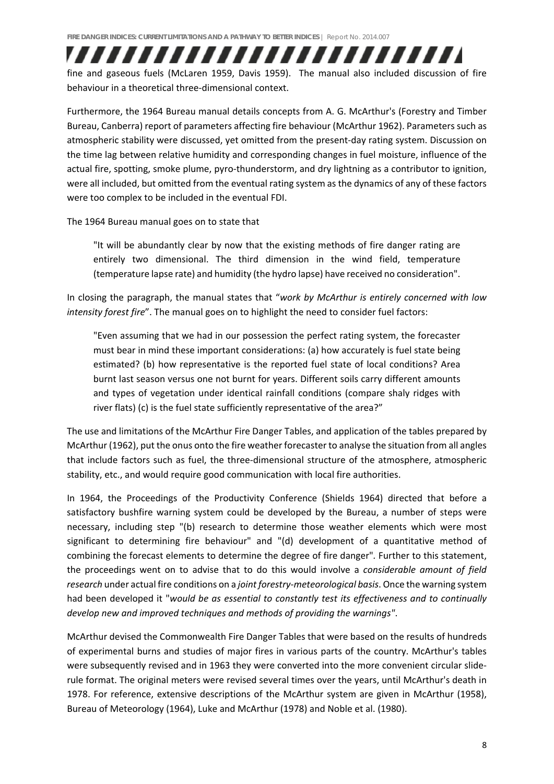### fine and gaseous fuels (McLaren 1959, Davis 1959). The manual also included discussion of fire behaviour in a theoretical three‐dimensional context.

,,,,,,,,,,,,,,,,,,,,,,,,,,

Furthermore, the 1964 Bureau manual details concepts from A. G. McArthur's (Forestry and Timber Bureau, Canberra) report of parameters affecting fire behaviour (McArthur 1962). Parameters such as atmospheric stability were discussed, yet omitted from the present-day rating system. Discussion on the time lag between relative humidity and corresponding changes in fuel moisture, influence of the actual fire, spotting, smoke plume, pyro-thunderstorm, and dry lightning as a contributor to ignition, were all included, but omitted from the eventual rating system as the dynamics of any of these factors were too complex to be included in the eventual FDI.

#### The 1964 Bureau manual goes on to state that

"It will be abundantly clear by now that the existing methods of fire danger rating are entirely two dimensional. The third dimension in the wind field, temperature (temperature lapse rate) and humidity (the hydro lapse) have received no consideration".

In closing the paragraph, the manual states that "*work by McArthur is entirely concerned with low intensity forest fire*". The manual goes on to highlight the need to consider fuel factors:

"Even assuming that we had in our possession the perfect rating system, the forecaster must bear in mind these important considerations: (a) how accurately is fuel state being estimated? (b) how representative is the reported fuel state of local conditions? Area burnt last season versus one not burnt for years. Different soils carry different amounts and types of vegetation under identical rainfall conditions (compare shaly ridges with river flats) (c) is the fuel state sufficiently representative of the area?"

The use and limitations of the McArthur Fire Danger Tables, and application of the tables prepared by McArthur (1962), put the onus onto the fire weather forecaster to analyse the situation from all angles that include factors such as fuel, the three‐dimensional structure of the atmosphere, atmospheric stability, etc., and would require good communication with local fire authorities.

In 1964, the Proceedings of the Productivity Conference (Shields 1964) directed that before a satisfactory bushfire warning system could be developed by the Bureau, a number of steps were necessary, including step "(b) research to determine those weather elements which were most significant to determining fire behaviour" and "(d) development of a quantitative method of combining the forecast elements to determine the degree of fire danger"*.* Further to this statement, the proceedings went on to advise that to do this would involve a *considerable amount of field research* under actual fire conditions on a *joint forestry‐meteorological basis*. Once the warning system had been developed it "*would be as essential to constantly test its effectiveness and to continually develop new and improved techniques and methods of providing the warnings"*.

McArthur devised the Commonwealth Fire Danger Tables that were based on the results of hundreds of experimental burns and studies of major fires in various parts of the country. McArthur's tables were subsequently revised and in 1963 they were converted into the more convenient circular sliderule format. The original meters were revised several times over the years, until McArthur's death in 1978. For reference, extensive descriptions of the McArthur system are given in McArthur (1958), Bureau of Meteorology (1964), Luke and McArthur (1978) and Noble et al. (1980).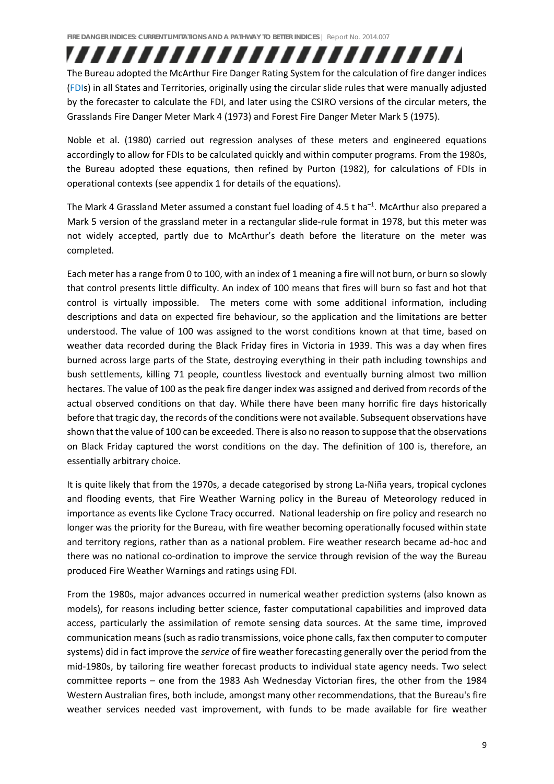The Bureau adopted the McArthur Fire Danger Rating System for the calculation of fire danger indices (FDIs) in all States and Territories, originally using the circular slide rules that were manually adjusted by the forecaster to calculate the FDI, and later using the CSIRO versions of the circular meters, the Grasslands Fire Danger Meter Mark 4 (1973) and Forest Fire Danger Meter Mark 5 (1975).

,,,,,,,,,,,,,,,,,,,,,,,,,,

Noble et al. (1980) carried out regression analyses of these meters and engineered equations accordingly to allow for FDIs to be calculated quickly and within computer programs. From the 1980s, the Bureau adopted these equations, then refined by Purton (1982), for calculations of FDIs in operational contexts (see appendix 1 for details of the equations).

The Mark 4 Grassland Meter assumed a constant fuel loading of 4.5 t ha<sup>-1</sup>. McArthur also prepared a Mark 5 version of the grassland meter in a rectangular slide-rule format in 1978, but this meter was not widely accepted, partly due to McArthur's death before the literature on the meter was completed.

Each meter has a range from 0 to 100, with an index of 1 meaning a fire will not burn, or burn so slowly that control presents little difficulty. An index of 100 means that fires will burn so fast and hot that control is virtually impossible. The meters come with some additional information, including descriptions and data on expected fire behaviour, so the application and the limitations are better understood. The value of 100 was assigned to the worst conditions known at that time, based on weather data recorded during the Black Friday fires in Victoria in 1939. This was a day when fires burned across large parts of the State, destroying everything in their path including townships and bush settlements, killing 71 people, countless livestock and eventually burning almost two million hectares. The value of 100 as the peak fire danger index was assigned and derived from records of the actual observed conditions on that day. While there have been many horrific fire days historically before that tragic day, the records of the conditions were not available. Subsequent observations have shown that the value of 100 can be exceeded. There is also no reason to suppose that the observations on Black Friday captured the worst conditions on the day. The definition of 100 is, therefore, an essentially arbitrary choice.

It is quite likely that from the 1970s, a decade categorised by strong La‐Niña years, tropical cyclones and flooding events, that Fire Weather Warning policy in the Bureau of Meteorology reduced in importance as events like Cyclone Tracy occurred. National leadership on fire policy and research no longer was the priority for the Bureau, with fire weather becoming operationally focused within state and territory regions, rather than as a national problem. Fire weather research became ad‐hoc and there was no national co-ordination to improve the service through revision of the way the Bureau produced Fire Weather Warnings and ratings using FDI.

From the 1980s, major advances occurred in numerical weather prediction systems (also known as models), for reasons including better science, faster computational capabilities and improved data access, particularly the assimilation of remote sensing data sources. At the same time, improved communication means(such asradio transmissions, voice phone calls, fax then computer to computer systems) did in fact improve the *service* of fire weather forecasting generally over the period from the mid‐1980s, by tailoring fire weather forecast products to individual state agency needs. Two select committee reports – one from the 1983 Ash Wednesday Victorian fires, the other from the 1984 Western Australian fires, both include, amongst many other recommendations, that the Bureau's fire weather services needed vast improvement, with funds to be made available for fire weather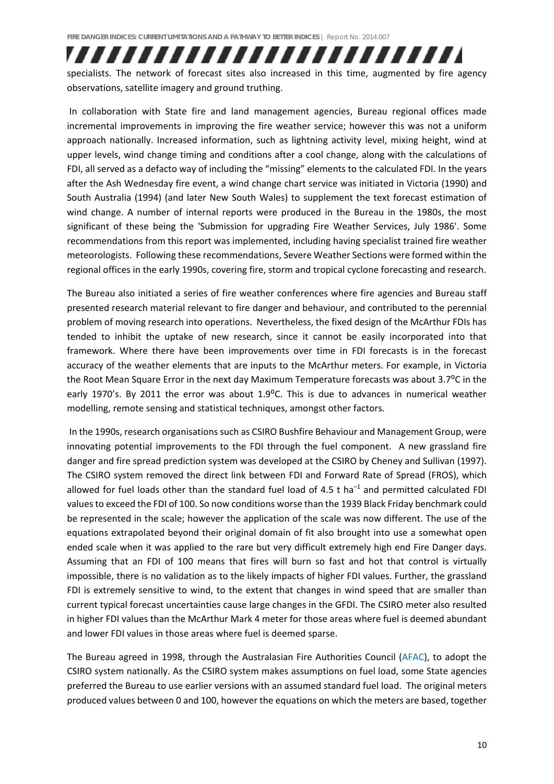specialists. The network of forecast sites also increased in this time, augmented by fire agency observations, satellite imagery and ground truthing.

,,,,,,,,,,,,,,,,,,,,,,,,,,

In collaboration with State fire and land management agencies, Bureau regional offices made incremental improvements in improving the fire weather service; however this was not a uniform approach nationally. Increased information, such as lightning activity level, mixing height, wind at upper levels, wind change timing and conditions after a cool change, along with the calculations of FDI, all served as a defacto way of including the "missing" elements to the calculated FDI. In the years after the Ash Wednesday fire event, a wind change chart service was initiated in Victoria (1990) and South Australia (1994) (and later New South Wales) to supplement the text forecast estimation of wind change. A number of internal reports were produced in the Bureau in the 1980s, the most significant of these being the 'Submission for upgrading Fire Weather Services, July 1986'. Some recommendations from this report was implemented, including having specialist trained fire weather meteorologists. Following these recommendations, Severe Weather Sections were formed within the regional offices in the early 1990s, covering fire, storm and tropical cyclone forecasting and research.

The Bureau also initiated a series of fire weather conferences where fire agencies and Bureau staff presented research material relevant to fire danger and behaviour, and contributed to the perennial problem of moving research into operations. Nevertheless, the fixed design of the McArthur FDIs has tended to inhibit the uptake of new research, since it cannot be easily incorporated into that framework. Where there have been improvements over time in FDI forecasts is in the forecast accuracy of the weather elements that are inputs to the McArthur meters. For example, in Victoria the Root Mean Square Error in the next day Maximum Temperature forecasts was about 3.7<sup>o</sup>C in the early 1970's. By 2011 the error was about 1.9 $^{\circ}$ C. This is due to advances in numerical weather modelling, remote sensing and statistical techniques, amongst other factors.

In the 1990s, research organisations such as CSIRO Bushfire Behaviour and Management Group, were innovating potential improvements to the FDI through the fuel component. A new grassland fire danger and fire spread prediction system was developed at the CSIRO by Cheney and Sullivan (1997). The CSIRO system removed the direct link between FDI and Forward Rate of Spread (FROS), which allowed for fuel loads other than the standard fuel load of  $4.5$  t ha<sup>-1</sup> and permitted calculated FDI values to exceed the FDI of 100. So now conditions worse than the 1939 Black Friday benchmark could be represented in the scale; however the application of the scale was now different. The use of the equations extrapolated beyond their original domain of fit also brought into use a somewhat open ended scale when it was applied to the rare but very difficult extremely high end Fire Danger days. Assuming that an FDI of 100 means that fires will burn so fast and hot that control is virtually impossible, there is no validation as to the likely impacts of higher FDI values. Further, the grassland FDI is extremely sensitive to wind, to the extent that changes in wind speed that are smaller than current typical forecast uncertainties cause large changes in the GFDI. The CSIRO meter also resulted in higher FDI values than the McArthur Mark 4 meter for those areas where fuel is deemed abundant and lower FDI values in those areas where fuel is deemed sparse.

The Bureau agreed in 1998, through the Australasian Fire Authorities Council (AFAC), to adopt the CSIRO system nationally. As the CSIRO system makes assumptions on fuel load, some State agencies preferred the Bureau to use earlier versions with an assumed standard fuel load. The original meters produced values between 0 and 100, however the equations on which the meters are based, together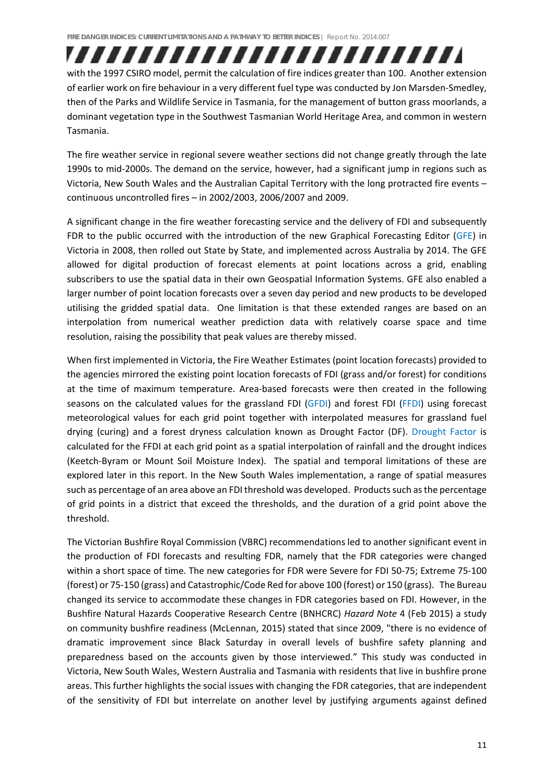with the 1997 CSIRO model, permit the calculation of fire indices greater than 100. Another extension of earlier work on fire behaviour in a very different fuel type was conducted by Jon Marsden‐Smedley, then of the Parks and Wildlife Service in Tasmania, for the management of button grass moorlands, a dominant vegetation type in the Southwest Tasmanian World Heritage Area, and common in western Tasmania.

,,,,,,,,,,,,,,,,,,,,,,,,,,

The fire weather service in regional severe weather sections did not change greatly through the late 1990s to mid‐2000s. The demand on the service, however, had a significant jump in regions such as Victoria, New South Wales and the Australian Capital Territory with the long protracted fire events – continuous uncontrolled fires – in 2002/2003, 2006/2007 and 2009.

A significant change in the fire weather forecasting service and the delivery of FDI and subsequently FDR to the public occurred with the introduction of the new Graphical Forecasting Editor (GFE) in Victoria in 2008, then rolled out State by State, and implemented across Australia by 2014. The GFE allowed for digital production of forecast elements at point locations across a grid, enabling subscribers to use the spatial data in their own Geospatial Information Systems. GFE also enabled a larger number of point location forecasts over a seven day period and new products to be developed utilising the gridded spatial data. One limitation is that these extended ranges are based on an interpolation from numerical weather prediction data with relatively coarse space and time resolution, raising the possibility that peak values are thereby missed.

When first implemented in Victoria, the Fire Weather Estimates (point location forecasts) provided to the agencies mirrored the existing point location forecasts of FDI (grass and/or forest) for conditions at the time of maximum temperature. Area-based forecasts were then created in the following seasons on the calculated values for the grassland FDI (GFDI) and forest FDI (FFDI) using forecast meteorological values for each grid point together with interpolated measures for grassland fuel drying (curing) and a forest dryness calculation known as Drought Factor (DF). Drought Factor is calculated for the FFDI at each grid point as a spatial interpolation of rainfall and the drought indices (Keetch‐Byram or Mount Soil Moisture Index). The spatial and temporal limitations of these are explored later in this report. In the New South Wales implementation, a range of spatial measures such as percentage of an area above an FDI threshold was developed. Products such as the percentage of grid points in a district that exceed the thresholds, and the duration of a grid point above the threshold.

The Victorian Bushfire Royal Commission (VBRC) recommendations led to another significant event in the production of FDI forecasts and resulting FDR, namely that the FDR categories were changed within a short space of time. The new categories for FDR were Severe for FDI 50‐75; Extreme 75‐100 (forest) or 75‐150 (grass) and Catastrophic/Code Red for above 100 (forest) or 150 (grass). The Bureau changed its service to accommodate these changes in FDR categories based on FDI. However, in the Bushfire Natural Hazards Cooperative Research Centre (BNHCRC) *Hazard Note* 4 (Feb 2015) a study on community bushfire readiness (McLennan, 2015) stated that since 2009, "there is no evidence of dramatic improvement since Black Saturday in overall levels of bushfire safety planning and preparedness based on the accounts given by those interviewed." This study was conducted in Victoria, New South Wales, Western Australia and Tasmania with residents that live in bushfire prone areas. This further highlights the social issues with changing the FDR categories, that are independent of the sensitivity of FDI but interrelate on another level by justifying arguments against defined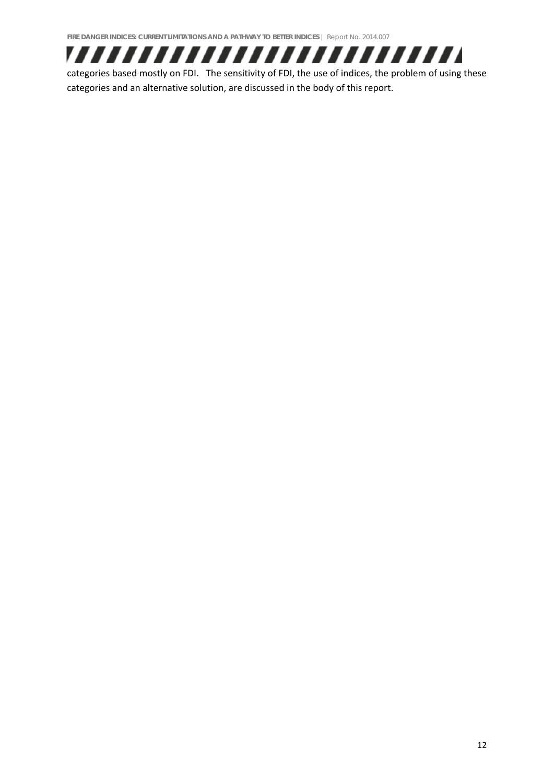

categories based mostly on FDI. The sensitivity of FDI, the use of indices, the problem of using these categories and an alternative solution, are discussed in the body of this report.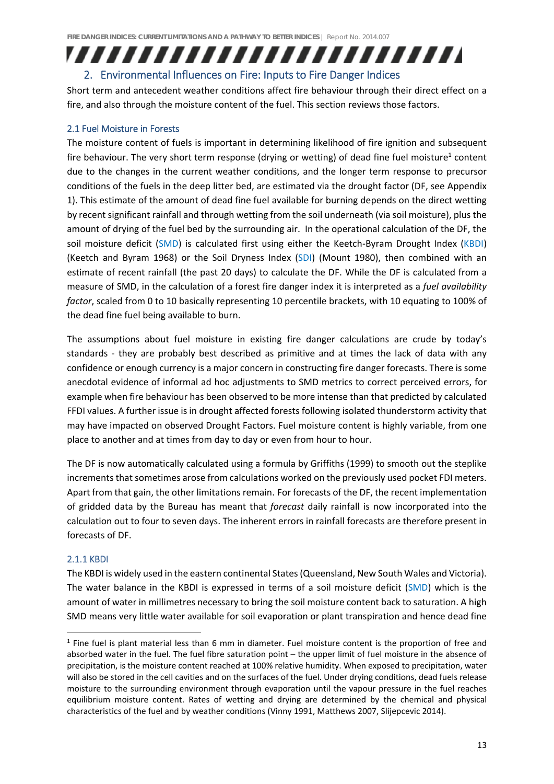### ,,,,,,,,,,,,,,,,,,,,,,,,,, 2. Environmental Influences on Fire: Inputs to Fire Danger Indices

Short term and antecedent weather conditions affect fire behaviour through their direct effect on a fire, and also through the moisture content of the fuel. This section reviews those factors.

#### 2.1 Fuel Moisture in Forests

The moisture content of fuels is important in determining likelihood of fire ignition and subsequent fire behaviour. The very short term response (drying or wetting) of dead fine fuel moisture<sup>1</sup> content due to the changes in the current weather conditions, and the longer term response to precursor conditions of the fuels in the deep litter bed, are estimated via the drought factor (DF, see Appendix 1). This estimate of the amount of dead fine fuel available for burning depends on the direct wetting by recent significant rainfall and through wetting from the soil underneath (via soil moisture), plus the amount of drying of the fuel bed by the surrounding air. In the operational calculation of the DF, the soil moisture deficit (SMD) is calculated first using either the Keetch-Byram Drought Index (KBDI) (Keetch and Byram 1968) or the Soil Dryness Index (SDI) (Mount 1980), then combined with an estimate of recent rainfall (the past 20 days) to calculate the DF. While the DF is calculated from a measure of SMD, in the calculation of a forest fire danger index it is interpreted as a *fuel availability factor*, scaled from 0 to 10 basically representing 10 percentile brackets, with 10 equating to 100% of the dead fine fuel being available to burn.

The assumptions about fuel moisture in existing fire danger calculations are crude by today's standards - they are probably best described as primitive and at times the lack of data with any confidence or enough currency is a major concern in constructing fire danger forecasts. There is some anecdotal evidence of informal ad hoc adjustments to SMD metrics to correct perceived errors, for example when fire behaviour has been observed to be more intense than that predicted by calculated FFDI values. A further issue is in drought affected forests following isolated thunderstorm activity that may have impacted on observed Drought Factors. Fuel moisture content is highly variable, from one place to another and at times from day to day or even from hour to hour.

The DF is now automatically calculated using a formula by Griffiths (1999) to smooth out the steplike increments that sometimes arose from calculations worked on the previously used pocket FDI meters. Apart from that gain, the other limitations remain. For forecasts of the DF, the recent implementation of gridded data by the Bureau has meant that *forecast* daily rainfall is now incorporated into the calculation out to four to seven days. The inherent errors in rainfall forecasts are therefore present in forecasts of DF.

#### 2.1.1 KBDI

The KBDI is widely used in the eastern continental States(Queensland, New South Wales and Victoria). The water balance in the KBDI is expressed in terms of a soil moisture deficit (SMD) which is the amount of water in millimetres necessary to bring the soil moisture content back to saturation. A high SMD means very little water available for soil evaporation or plant transpiration and hence dead fine

<sup>1</sup> Fine fuel is plant material less than 6 mm in diameter. Fuel moisture content is the proportion of free and absorbed water in the fuel. The fuel fibre saturation point – the upper limit of fuel moisture in the absence of precipitation, is the moisture content reached at 100% relative humidity. When exposed to precipitation, water will also be stored in the cell cavities and on the surfaces of the fuel. Under drying conditions, dead fuels release moisture to the surrounding environment through evaporation until the vapour pressure in the fuel reaches equilibrium moisture content. Rates of wetting and drying are determined by the chemical and physical characteristics of the fuel and by weather conditions (Vinny 1991, Matthews 2007, Slijepcevic 2014).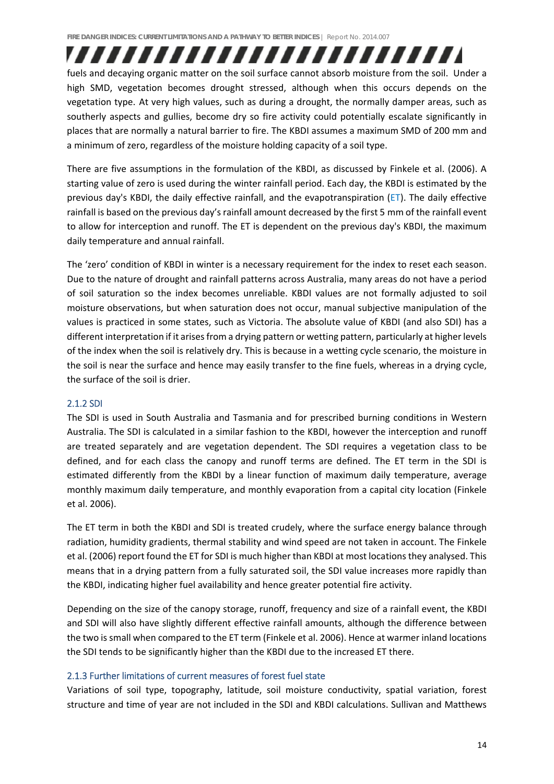fuels and decaying organic matter on the soil surface cannot absorb moisture from the soil. Under a high SMD, vegetation becomes drought stressed, although when this occurs depends on the vegetation type. At very high values, such as during a drought, the normally damper areas, such as southerly aspects and gullies, become dry so fire activity could potentially escalate significantly in places that are normally a natural barrier to fire. The KBDI assumes a maximum SMD of 200 mm and a minimum of zero, regardless of the moisture holding capacity of a soil type.

,,,,,,,,,,,,,,,,,,,,,,,,,,

There are five assumptions in the formulation of the KBDI, as discussed by Finkele et al. (2006). A starting value of zero is used during the winter rainfall period. Each day, the KBDI is estimated by the previous day's KBDI, the daily effective rainfall, and the evapotranspiration (ET). The daily effective rainfall is based on the previous day's rainfall amount decreased by the first 5 mm of the rainfall event to allow for interception and runoff. The ET is dependent on the previous day's KBDI, the maximum daily temperature and annual rainfall.

The 'zero' condition of KBDI in winter is a necessary requirement for the index to reset each season. Due to the nature of drought and rainfall patterns across Australia, many areas do not have a period of soil saturation so the index becomes unreliable. KBDI values are not formally adjusted to soil moisture observations, but when saturation does not occur, manual subjective manipulation of the values is practiced in some states, such as Victoria. The absolute value of KBDI (and also SDI) has a different interpretation if it arises from a drying pattern or wetting pattern, particularly at higher levels of the index when the soil is relatively dry. This is because in a wetting cycle scenario, the moisture in the soil is near the surface and hence may easily transfer to the fine fuels, whereas in a drying cycle, the surface of the soil is drier.

#### 2.1.2 SDI

The SDI is used in South Australia and Tasmania and for prescribed burning conditions in Western Australia. The SDI is calculated in a similar fashion to the KBDI, however the interception and runoff are treated separately and are vegetation dependent. The SDI requires a vegetation class to be defined, and for each class the canopy and runoff terms are defined. The ET term in the SDI is estimated differently from the KBDI by a linear function of maximum daily temperature, average monthly maximum daily temperature, and monthly evaporation from a capital city location (Finkele et al. 2006).

The ET term in both the KBDI and SDI is treated crudely, where the surface energy balance through radiation, humidity gradients, thermal stability and wind speed are not taken in account. The Finkele et al. (2006) report found the ET for SDI is much higher than KBDI at most locations they analysed. This means that in a drying pattern from a fully saturated soil, the SDI value increases more rapidly than the KBDI, indicating higher fuel availability and hence greater potential fire activity.

Depending on the size of the canopy storage, runoff, frequency and size of a rainfall event, the KBDI and SDI will also have slightly different effective rainfall amounts, although the difference between the two issmall when compared to the ET term (Finkele et al. 2006). Hence at warmer inland locations the SDI tends to be significantly higher than the KBDI due to the increased ET there.

#### 2.1.3 Further limitations of current measures of forest fuel state

Variations of soil type, topography, latitude, soil moisture conductivity, spatial variation, forest structure and time of year are not included in the SDI and KBDI calculations. Sullivan and Matthews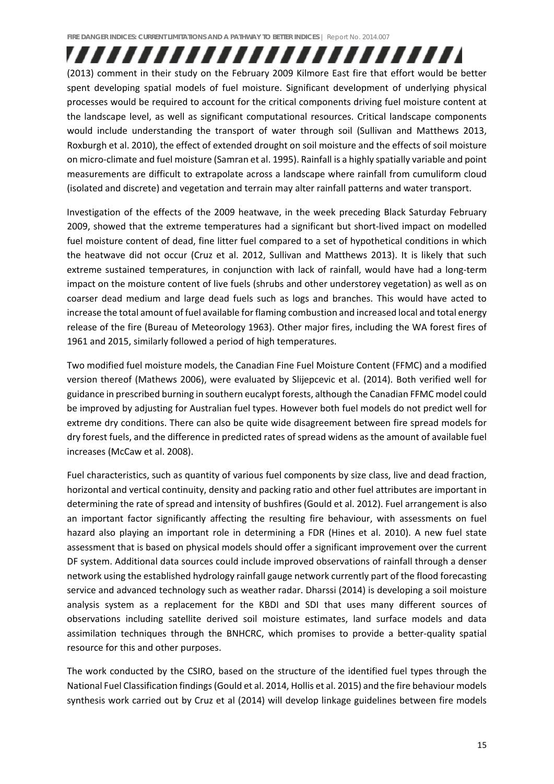(2013) comment in their study on the February 2009 Kilmore East fire that effort would be better spent developing spatial models of fuel moisture. Significant development of underlying physical processes would be required to account for the critical components driving fuel moisture content at the landscape level, as well as significant computational resources. Critical landscape components would include understanding the transport of water through soil (Sullivan and Matthews 2013, Roxburgh et al. 2010), the effect of extended drought on soil moisture and the effects of soil moisture on micro‐climate and fuel moisture (Samran et al. 1995). Rainfall is a highly spatially variable and point measurements are difficult to extrapolate across a landscape where rainfall from cumuliform cloud (isolated and discrete) and vegetation and terrain may alter rainfall patterns and water transport.

,,,,,,,,,,,,,,,,,,,,,,,,,

Investigation of the effects of the 2009 heatwave, in the week preceding Black Saturday February 2009, showed that the extreme temperatures had a significant but short‐lived impact on modelled fuel moisture content of dead, fine litter fuel compared to a set of hypothetical conditions in which the heatwave did not occur (Cruz et al. 2012, Sullivan and Matthews 2013). It is likely that such extreme sustained temperatures, in conjunction with lack of rainfall, would have had a long-term impact on the moisture content of live fuels (shrubs and other understorey vegetation) as well as on coarser dead medium and large dead fuels such as logs and branches. This would have acted to increase the total amount of fuel available for flaming combustion and increased local and total energy release of the fire (Bureau of Meteorology 1963). Other major fires, including the WA forest fires of 1961 and 2015, similarly followed a period of high temperatures.

Two modified fuel moisture models, the Canadian Fine Fuel Moisture Content (FFMC) and a modified version thereof (Mathews 2006), were evaluated by Slijepcevic et al. (2014). Both verified well for guidance in prescribed burning in southern eucalypt forests, although the Canadian FFMC model could be improved by adjusting for Australian fuel types. However both fuel models do not predict well for extreme dry conditions. There can also be quite wide disagreement between fire spread models for dry forest fuels, and the difference in predicted rates of spread widens as the amount of available fuel increases (McCaw et al. 2008).

Fuel characteristics, such as quantity of various fuel components by size class, live and dead fraction, horizontal and vertical continuity, density and packing ratio and other fuel attributes are important in determining the rate of spread and intensity of bushfires (Gould et al. 2012). Fuel arrangement is also an important factor significantly affecting the resulting fire behaviour, with assessments on fuel hazard also playing an important role in determining a FDR (Hines et al. 2010). A new fuel state assessment that is based on physical models should offer a significant improvement over the current DF system. Additional data sources could include improved observations of rainfall through a denser network using the established hydrology rainfall gauge network currently part of the flood forecasting service and advanced technology such as weather radar. Dharssi (2014) is developing a soil moisture analysis system as a replacement for the KBDI and SDI that uses many different sources of observations including satellite derived soil moisture estimates, land surface models and data assimilation techniques through the BNHCRC, which promises to provide a better-quality spatial resource for this and other purposes.

The work conducted by the CSIRO, based on the structure of the identified fuel types through the National Fuel Classification findings(Gould et al. 2014, Hollis et al. 2015) and the fire behaviour models synthesis work carried out by Cruz et al (2014) will develop linkage guidelines between fire models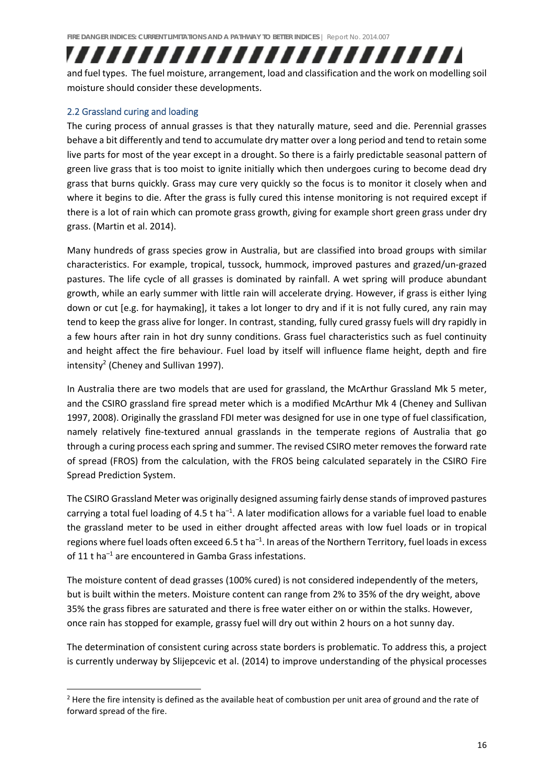## ,,,,,,,,,,,,,,,,,,,,,,,,,

and fuel types. The fuel moisture, arrangement, load and classification and the work on modelling soil moisture should consider these developments.

#### 2.2 Grassland curing and loading

The curing process of annual grasses is that they naturally mature, seed and die. Perennial grasses behave a bit differently and tend to accumulate dry matter over a long period and tend to retain some live parts for most of the year except in a drought. So there is a fairly predictable seasonal pattern of green live grass that is too moist to ignite initially which then undergoes curing to become dead dry grass that burns quickly. Grass may cure very quickly so the focus is to monitor it closely when and where it begins to die. After the grass is fully cured this intense monitoring is not required except if there is a lot of rain which can promote grass growth, giving for example short green grass under dry grass. (Martin et al. 2014).

Many hundreds of grass species grow in Australia, but are classified into broad groups with similar characteristics. For example, tropical, tussock, hummock, improved pastures and grazed/un‐grazed pastures. The life cycle of all grasses is dominated by rainfall. A wet spring will produce abundant growth, while an early summer with little rain will accelerate drying. However, if grass is either lying down or cut [e.g. for haymaking], it takes a lot longer to dry and if it is not fully cured, any rain may tend to keep the grass alive for longer. In contrast, standing, fully cured grassy fuels will dry rapidly in a few hours after rain in hot dry sunny conditions. Grass fuel characteristics such as fuel continuity and height affect the fire behaviour. Fuel load by itself will influence flame height, depth and fire intensity<sup>2</sup> (Cheney and Sullivan 1997).

In Australia there are two models that are used for grassland, the McArthur Grassland Mk 5 meter, and the CSIRO grassland fire spread meter which is a modified McArthur Mk 4 (Cheney and Sullivan 1997, 2008). Originally the grassland FDI meter was designed for use in one type of fuel classification, namely relatively fine‐textured annual grasslands in the temperate regions of Australia that go through a curing process each spring and summer. The revised CSIRO meter removes the forward rate of spread (FROS) from the calculation, with the FROS being calculated separately in the CSIRO Fire Spread Prediction System.

The CSIRO Grassland Meter was originally designed assuming fairly dense stands of improved pastures carrying a total fuel loading of 4.5 t ha<sup>-1</sup>. A later modification allows for a variable fuel load to enable the grassland meter to be used in either drought affected areas with low fuel loads or in tropical regions where fuel loads often exceed 6.5 t ha<sup>-1</sup>. In areas of the Northern Territory, fuel loads in excess of 11 t ha–1 are encountered in Gamba Grass infestations.

The moisture content of dead grasses (100% cured) is not considered independently of the meters, but is built within the meters. Moisture content can range from 2% to 35% of the dry weight, above 35% the grass fibres are saturated and there is free water either on or within the stalks. However, once rain has stopped for example, grassy fuel will dry out within 2 hours on a hot sunny day.

The determination of consistent curing across state borders is problematic. To address this, a project is currently underway by Slijepcevic et al. (2014) to improve understanding of the physical processes

<sup>&</sup>lt;sup>2</sup> Here the fire intensity is defined as the available heat of combustion per unit area of ground and the rate of forward spread of the fire.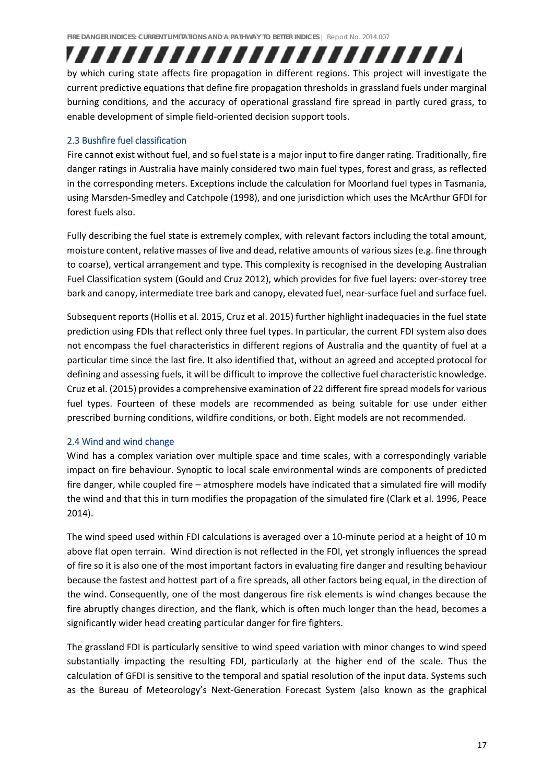by which curing state affects fire propagation in different regions. This project will investigate the current predictive equations that define fire propagation thresholds in grassland fuels under marginal burning conditions, and the accuracy of operational grassland fire spread in partly cured grass, to enable development of simple field‐oriented decision support tools.

,,,,,,,,,,,,,,,,,,,,,,,,,,

#### 2.3 Bushfire fuel classification

Fire cannot exist without fuel, and so fuel state is a major input to fire danger rating. Traditionally, fire danger ratings in Australia have mainly considered two main fuel types, forest and grass, as reflected in the corresponding meters. Exceptions include the calculation for Moorland fuel types in Tasmania, using Marsden‐Smedley and Catchpole (1998), and one jurisdiction which uses the McArthur GFDI for forest fuels also.

Fully describing the fuel state is extremely complex, with relevant factors including the total amount, moisture content, relative masses of live and dead, relative amounts of various sizes (e.g. fine through to coarse), vertical arrangement and type. This complexity is recognised in the developing Australian Fuel Classification system (Gould and Cruz 2012), which provides for five fuel layers: over‐storey tree bark and canopy, intermediate tree bark and canopy, elevated fuel, near-surface fuel and surface fuel.

Subsequent reports (Hollis et al. 2015, Cruz et al. 2015) further highlight inadequacies in the fuel state prediction using FDIs that reflect only three fuel types. In particular, the current FDI system also does not encompass the fuel characteristics in different regions of Australia and the quantity of fuel at a particular time since the last fire. It also identified that, without an agreed and accepted protocol for defining and assessing fuels, it will be difficult to improve the collective fuel characteristic knowledge. Cruz et al. (2015) provides a comprehensive examination of 22 different fire spread modelsfor various fuel types. Fourteen of these models are recommended as being suitable for use under either prescribed burning conditions, wildfire conditions, or both. Eight models are not recommended.

#### 2.4 Wind and wind change

Wind has a complex variation over multiple space and time scales, with a correspondingly variable impact on fire behaviour. Synoptic to local scale environmental winds are components of predicted fire danger, while coupled fire – atmosphere models have indicated that a simulated fire will modify the wind and that this in turn modifies the propagation of the simulated fire (Clark et al. 1996, Peace 2014).

The wind speed used within FDI calculations is averaged over a 10-minute period at a height of 10 m above flat open terrain. Wind direction is not reflected in the FDI, yet strongly influences the spread of fire so it is also one of the most important factors in evaluating fire danger and resulting behaviour because the fastest and hottest part of a fire spreads, all other factors being equal, in the direction of the wind. Consequently, one of the most dangerous fire risk elements is wind changes because the fire abruptly changes direction, and the flank, which is often much longer than the head, becomes a significantly wider head creating particular danger for fire fighters.

The grassland FDI is particularly sensitive to wind speed variation with minor changes to wind speed substantially impacting the resulting FDI, particularly at the higher end of the scale. Thus the calculation of GFDI is sensitive to the temporal and spatial resolution of the input data. Systems such as the Bureau of Meteorology's Next-Generation Forecast System (also known as the graphical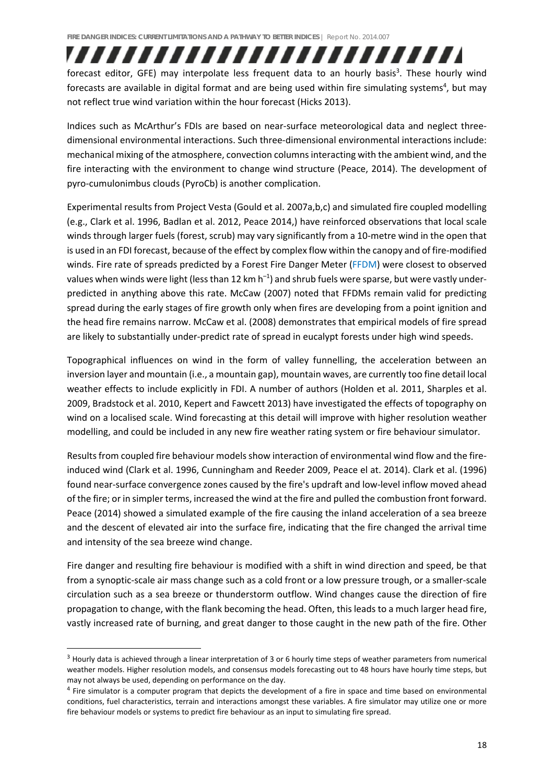forecast editor, GFE) may interpolate less frequent data to an hourly basis<sup>3</sup>. These hourly wind forecasts are available in digital format and are being used within fire simulating systems<sup>4</sup>, but may not reflect true wind variation within the hour forecast (Hicks 2013).

,,,,,,,,,,,,,,,,,,,,,,,,,,

Indices such as McArthur's FDIs are based on near‐surface meteorological data and neglect three‐ dimensional environmental interactions. Such three‐dimensional environmental interactions include: mechanical mixing of the atmosphere, convection columnsinteracting with the ambient wind, and the fire interacting with the environment to change wind structure (Peace, 2014). The development of pyro‐cumulonimbus clouds (PyroCb) is another complication.

Experimental results from Project Vesta (Gould et al. 2007a,b,c) and simulated fire coupled modelling (e.g., Clark et al. 1996, Badlan et al. 2012, Peace 2014,) have reinforced observations that local scale winds through larger fuels (forest, scrub) may vary significantly from a 10-metre wind in the open that is used in an FDI forecast, because of the effect by complex flow within the canopy and of fire-modified winds. Fire rate of spreads predicted by a Forest Fire Danger Meter (FFDM) were closest to observed values when winds were light (less than 12 km  $h^{-1}$ ) and shrub fuels were sparse, but were vastly underpredicted in anything above this rate. McCaw (2007) noted that FFDMs remain valid for predicting spread during the early stages of fire growth only when fires are developing from a point ignition and the head fire remains narrow. McCaw et al. (2008) demonstrates that empirical models of fire spread are likely to substantially under‐predict rate of spread in eucalypt forests under high wind speeds.

Topographical influences on wind in the form of valley funnelling, the acceleration between an inversion layer and mountain (i.e., a mountain gap), mountain waves, are currently too fine detail local weather effects to include explicitly in FDI. A number of authors (Holden et al. 2011, Sharples et al. 2009, Bradstock et al. 2010, Kepert and Fawcett 2013) have investigated the effects of topography on wind on a localised scale. Wind forecasting at this detail will improve with higher resolution weather modelling, and could be included in any new fire weather rating system or fire behaviour simulator.

Results from coupled fire behaviour models show interaction of environmental wind flow and the fireinduced wind (Clark et al. 1996, Cunningham and Reeder 2009, Peace el at. 2014). Clark et al. (1996) found near-surface convergence zones caused by the fire's updraft and low-level inflow moved ahead of the fire; or in simpler terms, increased the wind at the fire and pulled the combustion front forward. Peace (2014) showed a simulated example of the fire causing the inland acceleration of a sea breeze and the descent of elevated air into the surface fire, indicating that the fire changed the arrival time and intensity of the sea breeze wind change.

Fire danger and resulting fire behaviour is modified with a shift in wind direction and speed, be that from a synoptic‐scale air mass change such as a cold front or a low pressure trough, or a smaller‐scale circulation such as a sea breeze or thunderstorm outflow. Wind changes cause the direction of fire propagation to change, with the flank becoming the head. Often, this leads to a much larger head fire, vastly increased rate of burning, and great danger to those caught in the new path of the fire. Other

 $3$  Hourly data is achieved through a linear interpretation of 3 or 6 hourly time steps of weather parameters from numerical weather models. Higher resolution models, and consensus models forecasting out to 48 hours have hourly time steps, but may not always be used, depending on performance on the day.

<sup>&</sup>lt;sup>4</sup> Fire simulator is a computer program that depicts the development of a fire in space and time based on environmental conditions, fuel characteristics, terrain and interactions amongst these variables. A fire simulator may utilize one or more fire behaviour models or systems to predict fire behaviour as an input to simulating fire spread.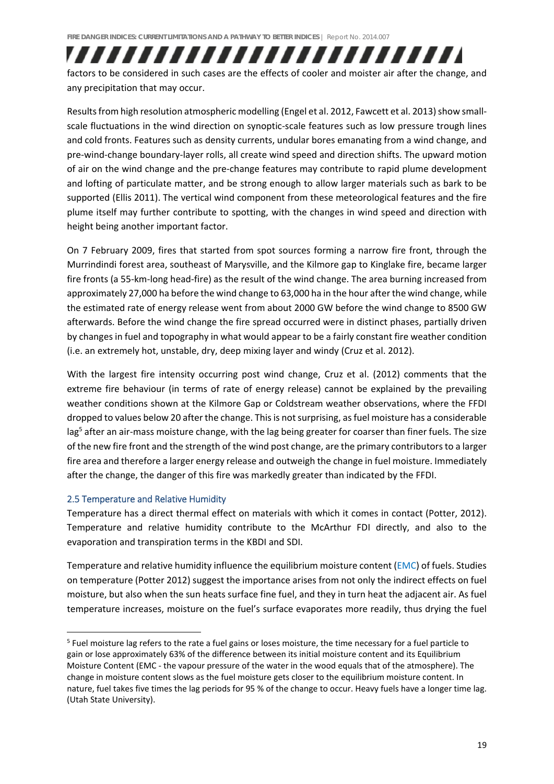factors to be considered in such cases are the effects of cooler and moister air after the change, and any precipitation that may occur.

,,,,,,,,,,,,,,,,,,,,,,,,,,

Results from high resolution atmospheric modelling (Engel et al. 2012, Fawcett et al. 2013) show smallscale fluctuations in the wind direction on synoptic-scale features such as low pressure trough lines and cold fronts. Features such as density currents, undular bores emanating from a wind change, and pre‐wind‐change boundary‐layer rolls, all create wind speed and direction shifts. The upward motion of air on the wind change and the pre‐change features may contribute to rapid plume development and lofting of particulate matter, and be strong enough to allow larger materials such as bark to be supported (Ellis 2011). The vertical wind component from these meteorological features and the fire plume itself may further contribute to spotting, with the changes in wind speed and direction with height being another important factor.

On 7 February 2009, fires that started from spot sources forming a narrow fire front, through the Murrindindi forest area, southeast of Marysville, and the Kilmore gap to Kinglake fire, became larger fire fronts (a 55-km-long head-fire) as the result of the wind change. The area burning increased from approximately 27,000 ha before the wind change to 63,000 ha in the hour after the wind change, while the estimated rate of energy release went from about 2000 GW before the wind change to 8500 GW afterwards. Before the wind change the fire spread occurred were in distinct phases, partially driven by changes in fuel and topography in what would appear to be a fairly constant fire weather condition (i.e. an extremely hot, unstable, dry, deep mixing layer and windy (Cruz et al. 2012).

With the largest fire intensity occurring post wind change, Cruz et al. (2012) comments that the extreme fire behaviour (in terms of rate of energy release) cannot be explained by the prevailing weather conditions shown at the Kilmore Gap or Coldstream weather observations, where the FFDI dropped to values below 20 after the change. This is not surprising, as fuel moisture has a considerable lag<sup>5</sup> after an air-mass moisture change, with the lag being greater for coarser than finer fuels. The size of the new fire front and the strength of the wind post change, are the primary contributorsto a larger fire area and therefore a larger energy release and outweigh the change in fuel moisture. Immediately after the change, the danger of this fire was markedly greater than indicated by the FFDI.

#### 2.5 Temperature and Relative Humidity

Temperature has a direct thermal effect on materials with which it comes in contact (Potter, 2012). Temperature and relative humidity contribute to the McArthur FDI directly, and also to the evaporation and transpiration terms in the KBDI and SDI.

Temperature and relative humidity influence the equilibrium moisture content (EMC) of fuels. Studies on temperature (Potter 2012) suggest the importance arises from not only the indirect effects on fuel moisture, but also when the sun heats surface fine fuel, and they in turn heat the adjacent air. As fuel temperature increases, moisture on the fuel's surface evaporates more readily, thus drying the fuel

<sup>5</sup> Fuel moisture lag refers to the rate a fuel gains or loses moisture, the time necessary for a fuel particle to gain or lose approximately 63% of the difference between its initial moisture content and its Equilibrium Moisture Content (EMC ‐ the vapour pressure of the water in the wood equals that of the atmosphere). The change in moisture content slows as the fuel moisture gets closer to the equilibrium moisture content. In nature, fuel takes five times the lag periods for 95 % of the change to occur. Heavy fuels have a longer time lag. (Utah State University).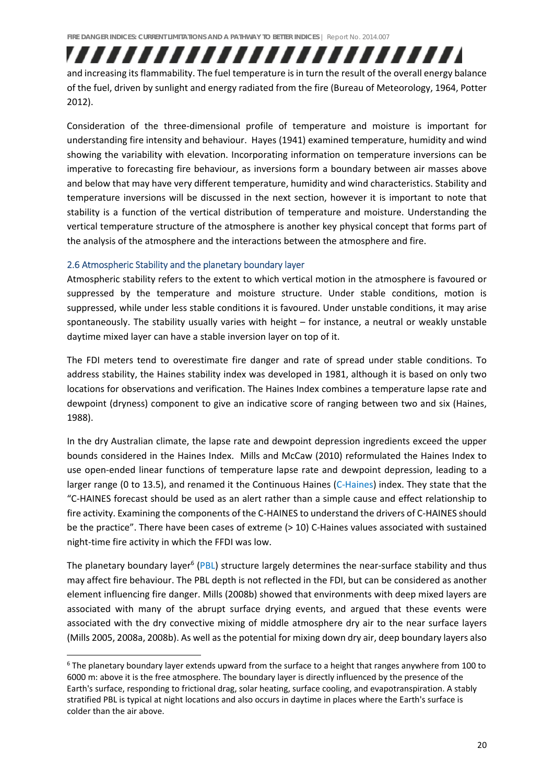## ,,,,,,,,,,,,,,,,,,,,,,,,,,

and increasing its flammability. The fuel temperature is in turn the result of the overall energy balance of the fuel, driven by sunlight and energy radiated from the fire (Bureau of Meteorology, 1964, Potter 2012).

Consideration of the three‐dimensional profile of temperature and moisture is important for understanding fire intensity and behaviour. Hayes (1941) examined temperature, humidity and wind showing the variability with elevation. Incorporating information on temperature inversions can be imperative to forecasting fire behaviour, as inversions form a boundary between air masses above and below that may have very different temperature, humidity and wind characteristics. Stability and temperature inversions will be discussed in the next section, however it is important to note that stability is a function of the vertical distribution of temperature and moisture. Understanding the vertical temperature structure of the atmosphere is another key physical concept that forms part of the analysis of the atmosphere and the interactions between the atmosphere and fire.

#### 2.6 Atmospheric Stability and the planetary boundary layer

Atmospheric stability refers to the extent to which vertical motion in the atmosphere is favoured or suppressed by the temperature and moisture structure. Under stable conditions, motion is suppressed, while under less stable conditions it is favoured. Under unstable conditions, it may arise spontaneously. The stability usually varies with height – for instance, a neutral or weakly unstable daytime mixed layer can have a stable inversion layer on top of it.

The FDI meters tend to overestimate fire danger and rate of spread under stable conditions. To address stability, the Haines stability index was developed in 1981, although it is based on only two locations for observations and verification. The Haines Index combines a temperature lapse rate and dewpoint (dryness) component to give an indicative score of ranging between two and six (Haines, 1988).

In the dry Australian climate, the lapse rate and dewpoint depression ingredients exceed the upper bounds considered in the Haines Index. Mills and McCaw (2010) reformulated the Haines Index to use open‐ended linear functions of temperature lapse rate and dewpoint depression, leading to a larger range (0 to 13.5), and renamed it the Continuous Haines (C‐Haines) index. They state that the "C‐HAINES forecast should be used as an alert rather than a simple cause and effect relationship to fire activity. Examining the components of the C-HAINES to understand the drivers of C-HAINES should be the practice". There have been cases of extreme (> 10) C-Haines values associated with sustained night‐time fire activity in which the FFDI was low.

The planetary boundary layer<sup>6</sup> (PBL) structure largely determines the near-surface stability and thus may affect fire behaviour. The PBL depth is not reflected in the FDI, but can be considered as another element influencing fire danger. Mills (2008b) showed that environments with deep mixed layers are associated with many of the abrupt surface drying events, and argued that these events were associated with the dry convective mixing of middle atmosphere dry air to the near surface layers (Mills 2005, 2008a, 2008b). As well asthe potential for mixing down dry air, deep boundary layers also

<sup>6</sup> The planetary boundary layer extends upward from the surface to a height that ranges anywhere from 100 to 6000 m: above it is the free atmosphere. The boundary layer is directly influenced by the presence of the Earth's surface, responding to frictional drag, solar heating, surface cooling, and evapotranspiration. A stably stratified PBL is typical at night locations and also occurs in daytime in places where the Earth's surface is colder than the air above.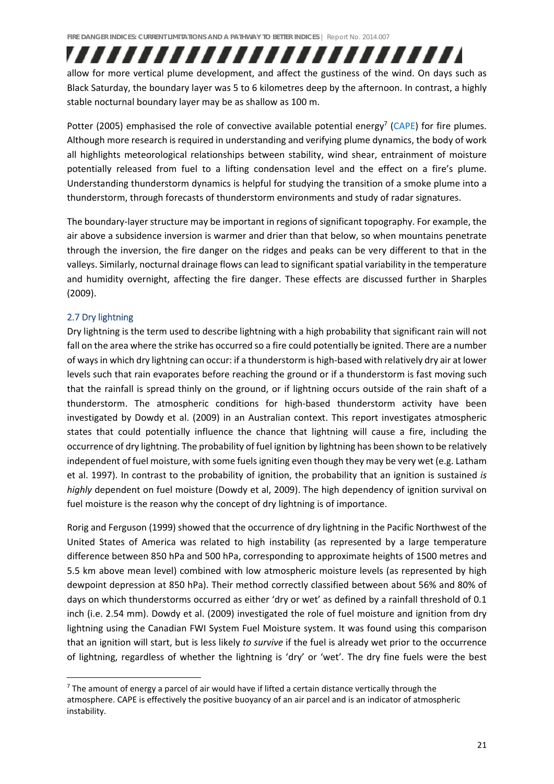allow for more vertical plume development, and affect the gustiness of the wind. On days such as Black Saturday, the boundary layer was 5 to 6 kilometres deep by the afternoon. In contrast, a highly stable nocturnal boundary layer may be as shallow as 100 m.

,,,,,,,,,,,,,,,,,,,,,,,,,,

Potter (2005) emphasised the role of convective available potential energy<sup>7</sup> (CAPE) for fire plumes. Although more research is required in understanding and verifying plume dynamics, the body of work all highlights meteorological relationships between stability, wind shear, entrainment of moisture potentially released from fuel to a lifting condensation level and the effect on a fire's plume. Understanding thunderstorm dynamics is helpful for studying the transition of a smoke plume into a thunderstorm, through forecasts of thunderstorm environments and study of radar signatures.

The boundary‐layer structure may be important in regions of significant topography. For example, the air above a subsidence inversion is warmer and drier than that below, so when mountains penetrate through the inversion, the fire danger on the ridges and peaks can be very different to that in the valleys. Similarly, nocturnal drainage flows can lead to significant spatial variability in the temperature and humidity overnight, affecting the fire danger. These effects are discussed further in Sharples (2009).

#### 2.7 Dry lightning

Dry lightning is the term used to describe lightning with a high probability that significant rain will not fall on the area where the strike has occurred so a fire could potentially be ignited. There are a number of waysin which dry lightning can occur: if a thunderstorm is high‐based with relatively dry air at lower levels such that rain evaporates before reaching the ground or if a thunderstorm is fast moving such that the rainfall is spread thinly on the ground, or if lightning occurs outside of the rain shaft of a thunderstorm. The atmospheric conditions for high‐based thunderstorm activity have been investigated by Dowdy et al. (2009) in an Australian context. This report investigates atmospheric states that could potentially influence the chance that lightning will cause a fire, including the occurrence of dry lightning. The probability of fuel ignition by lightning has been shown to be relatively independent of fuel moisture, with some fuelsigniting even though they may be very wet (e.g. Latham et al. 1997). In contrast to the probability of ignition, the probability that an ignition is sustained *is highly* dependent on fuel moisture (Dowdy et al, 2009). The high dependency of ignition survival on fuel moisture is the reason why the concept of dry lightning is of importance.

Rorig and Ferguson (1999) showed that the occurrence of dry lightning in the Pacific Northwest of the United States of America was related to high instability (as represented by a large temperature difference between 850 hPa and 500 hPa, corresponding to approximate heights of 1500 metres and 5.5 km above mean level) combined with low atmospheric moisture levels (as represented by high dewpoint depression at 850 hPa). Their method correctly classified between about 56% and 80% of days on which thunderstorms occurred as either 'dry or wet' as defined by a rainfall threshold of 0.1 inch (i.e. 2.54 mm). Dowdy et al. (2009) investigated the role of fuel moisture and ignition from dry lightning using the Canadian FWI System Fuel Moisture system. It was found using this comparison that an ignition will start, but is less likely *to survive* if the fuel is already wet prior to the occurrence of lightning, regardless of whether the lightning is 'dry' or 'wet'. The dry fine fuels were the best

 $7$  The amount of energy a parcel of air would have if lifted a certain distance vertically through the atmosphere. CAPE is effectively the positive buoyancy of an air parcel and is an indicator of atmospheric instability.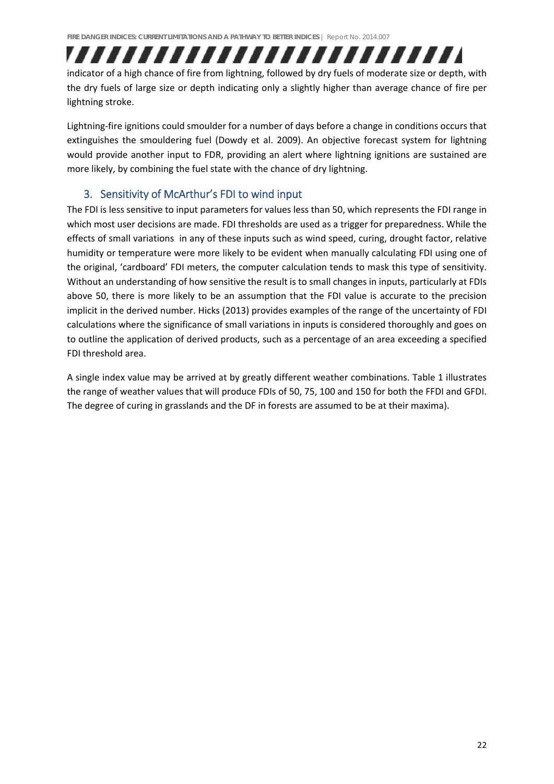## ,,,,,,,,,,,,,,,,,,,,,,,,,, indicator of a high chance of fire from lightning, followed by dry fuels of moderate size or depth, with

the dry fuels of large size or depth indicating only a slightly higher than average chance of fire per lightning stroke.

Lightning‐fire ignitions could smoulder for a number of days before a change in conditions occurs that extinguishes the smouldering fuel (Dowdy et al. 2009). An objective forecast system for lightning would provide another input to FDR, providing an alert where lightning ignitions are sustained are more likely, by combining the fuel state with the chance of dry lightning.

### 3. Sensitivity of McArthur's FDI to wind input

The FDI is less sensitive to input parameters for values less than 50, which represents the FDI range in which most user decisions are made. FDI thresholds are used as a trigger for preparedness. While the effects of small variations in any of these inputs such as wind speed, curing, drought factor, relative humidity or temperature were more likely to be evident when manually calculating FDI using one of the original, 'cardboard' FDI meters, the computer calculation tends to mask this type of sensitivity. Without an understanding of how sensitive the result is to small changes in inputs, particularly at FDIs above 50, there is more likely to be an assumption that the FDI value is accurate to the precision implicit in the derived number. Hicks (2013) provides examples of the range of the uncertainty of FDI calculations where the significance of small variations in inputs is considered thoroughly and goes on to outline the application of derived products, such as a percentage of an area exceeding a specified FDI threshold area.

A single index value may be arrived at by greatly different weather combinations. Table 1 illustrates the range of weather values that will produce FDIs of 50, 75, 100 and 150 for both the FFDI and GFDI. The degree of curing in grasslands and the DF in forests are assumed to be at their maxima).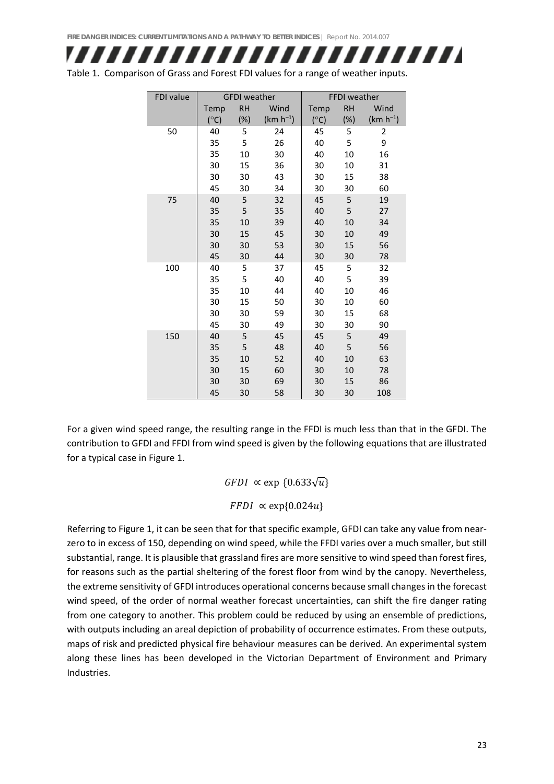## ,,,,,,,,,,,,,,,,,,,,,,,,,,

Table 1. Comparison of Grass and Forest FDI values for a range of weather inputs.

| FDI value | <b>GFDI</b> weather |           | <b>FFDI</b> weather |               |           |               |
|-----------|---------------------|-----------|---------------------|---------------|-----------|---------------|
|           | Temp                | <b>RH</b> | Wind                | Temp          | <b>RH</b> | Wind          |
|           | $(^{\circ}C)$       | (%)       | $(km h^{-1})$       | $(^{\circ}C)$ | $(\%)$    | $(km h^{-1})$ |
| 50        | 40                  | 5         | 24                  | 45            | 5         | 2             |
|           | 35                  | 5         | 26                  | 40            | 5         | 9             |
|           | 35                  | 10        | 30                  | 40            | 10        | 16            |
|           | 30                  | 15        | 36                  | 30            | 10        | 31            |
|           | 30                  | 30        | 43                  | 30            | 15        | 38            |
|           | 45                  | 30        | 34                  | 30            | 30        | 60            |
| 75        | 40                  | 5         | 32                  | 45            | 5         | 19            |
|           | 35                  | 5         | 35                  | 40            | 5         | 27            |
|           | 35                  | 10        | 39                  | 40            | 10        | 34            |
|           | 30                  | 15        | 45                  | 30            | 10        | 49            |
|           | 30                  | 30        | 53                  | 30            | 15        | 56            |
|           | 45                  | 30        | 44                  | 30            | 30        | 78            |
| 100       | 40                  | 5         | 37                  | 45            | 5         | 32            |
|           | 35                  | 5         | 40                  | 40            | 5         | 39            |
|           | 35                  | 10        | 44                  | 40            | 10        | 46            |
|           | 30                  | 15        | 50                  | 30            | 10        | 60            |
|           | 30                  | 30        | 59                  | 30            | 15        | 68            |
|           | 45                  | 30        | 49                  | 30            | 30        | 90            |
| 150       | 40                  | 5         | 45                  | 45            | 5         | 49            |
|           | 35                  | 5         | 48                  | 40            | 5         | 56            |
|           | 35                  | 10        | 52                  | 40            | 10        | 63            |
|           | 30                  | 15        | 60                  | 30            | 10        | 78            |
|           | 30                  | 30        | 69                  | 30            | 15        | 86            |
|           | 45                  | 30        | 58                  | 30            | 30        | 108           |

For a given wind speed range, the resulting range in the FFDI is much less than that in the GFDI. The contribution to GFDI and FFDI from wind speed is given by the following equations that are illustrated for a typical case in Figure 1.

 $GFDI \propto \exp \{0.633\sqrt{u}\}\$ 

 $FFDI \propto \exp\{0.024u\}$ 

Referring to Figure 1, it can be seen that for that specific example, GFDI can take any value from nearzero to in excess of 150, depending on wind speed, while the FFDI varies over a much smaller, but still substantial, range. It is plausible that grassland fires are more sensitive to wind speed than forest fires, for reasons such as the partial sheltering of the forest floor from wind by the canopy. Nevertheless, the extreme sensitivity of GFDI introduces operational concerns because small changes in the forecast wind speed, of the order of normal weather forecast uncertainties, can shift the fire danger rating from one category to another. This problem could be reduced by using an ensemble of predictions, with outputs including an areal depiction of probability of occurrence estimates. From these outputs, maps of risk and predicted physical fire behaviour measures can be derived*.* An experimental system along these lines has been developed in the Victorian Department of Environment and Primary Industries.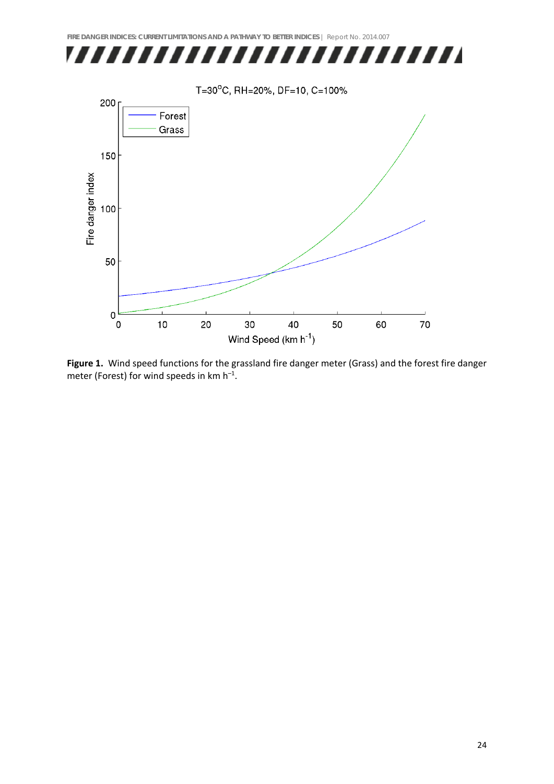

**Figure 1.** Wind speed functions for the grassland fire danger meter (Grass) and the forest fire danger meter (Forest) for wind speeds in  $km h^{-1}$ .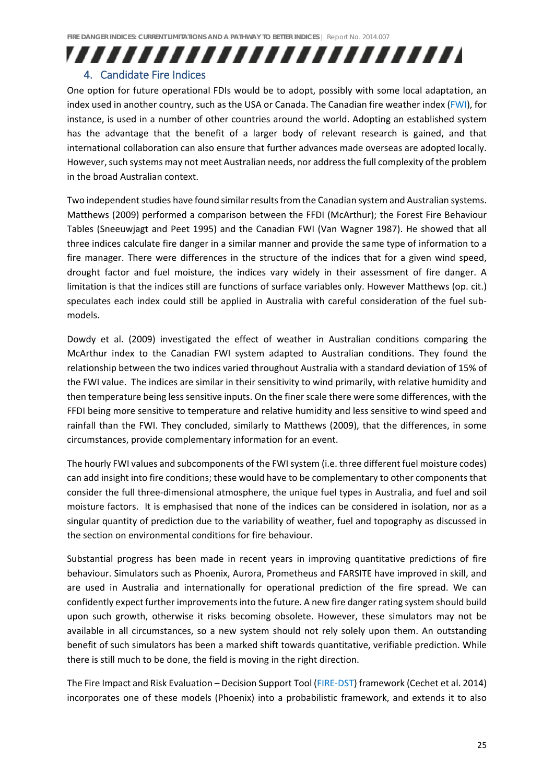### ,,,,,,,,,,,,,,,,,,,,,,,,,, 4. Candidate Fire Indices

### One option for future operational FDIs would be to adopt, possibly with some local adaptation, an index used in another country, such as the USA or Canada. The Canadian fire weather index (FWI), for instance, is used in a number of other countries around the world. Adopting an established system has the advantage that the benefit of a larger body of relevant research is gained, and that international collaboration can also ensure that further advances made overseas are adopted locally. However, such systems may not meet Australian needs, nor address the full complexity of the problem in the broad Australian context.

Two independent studies have found similar results from the Canadian system and Australian systems. Matthews (2009) performed a comparison between the FFDI (McArthur); the Forest Fire Behaviour Tables (Sneeuwjagt and Peet 1995) and the Canadian FWI (Van Wagner 1987). He showed that all three indices calculate fire danger in a similar manner and provide the same type of information to a fire manager. There were differences in the structure of the indices that for a given wind speed, drought factor and fuel moisture, the indices vary widely in their assessment of fire danger. A limitation is that the indices still are functions of surface variables only. However Matthews (op. cit.) speculates each index could still be applied in Australia with careful consideration of the fuel submodels.

Dowdy et al. (2009) investigated the effect of weather in Australian conditions comparing the McArthur index to the Canadian FWI system adapted to Australian conditions. They found the relationship between the two indices varied throughout Australia with a standard deviation of 15% of the FWI value. The indices are similar in their sensitivity to wind primarily, with relative humidity and then temperature being less sensitive inputs. On the finer scale there were some differences, with the FFDI being more sensitive to temperature and relative humidity and less sensitive to wind speed and rainfall than the FWI. They concluded, similarly to Matthews (2009), that the differences, in some circumstances, provide complementary information for an event.

The hourly FWI values and subcomponents of the FWIsystem (i.e. three different fuel moisture codes) can add insight into fire conditions; these would have to be complementary to other components that consider the full three‐dimensional atmosphere, the unique fuel types in Australia, and fuel and soil moisture factors. It is emphasised that none of the indices can be considered in isolation, nor as a singular quantity of prediction due to the variability of weather, fuel and topography as discussed in the section on environmental conditions for fire behaviour.

Substantial progress has been made in recent years in improving quantitative predictions of fire behaviour. Simulators such as Phoenix, Aurora, Prometheus and FARSITE have improved in skill, and are used in Australia and internationally for operational prediction of the fire spread. We can confidently expect further improvementsinto the future. A new fire danger rating system should build upon such growth, otherwise it risks becoming obsolete. However, these simulators may not be available in all circumstances, so a new system should not rely solely upon them. An outstanding benefit of such simulators has been a marked shift towards quantitative, verifiable prediction. While there is still much to be done, the field is moving in the right direction.

The Fire Impact and Risk Evaluation – Decision Support Tool (FIRE‐DST) framework (Cechet et al. 2014) incorporates one of these models (Phoenix) into a probabilistic framework, and extends it to also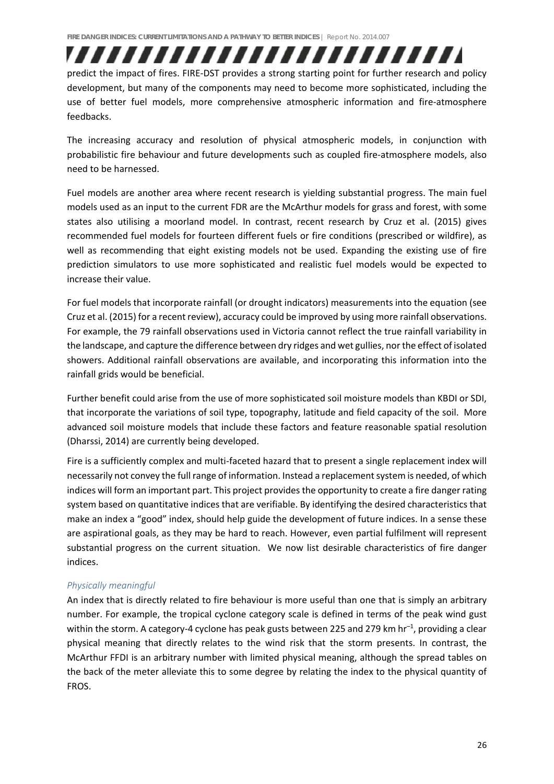,,,,,,,,,,,,,,,,,,,,,,,,,, predict the impact of fires. FIRE‐DST provides a strong starting point for further research and policy development, but many of the components may need to become more sophisticated, including the use of better fuel models, more comprehensive atmospheric information and fire‐atmosphere feedbacks.

The increasing accuracy and resolution of physical atmospheric models, in conjunction with probabilistic fire behaviour and future developments such as coupled fire‐atmosphere models, also need to be harnessed.

Fuel models are another area where recent research is yielding substantial progress. The main fuel models used as an input to the current FDR are the McArthur models for grass and forest, with some states also utilising a moorland model. In contrast, recent research by Cruz et al. (2015) gives recommended fuel models for fourteen different fuels or fire conditions (prescribed or wildfire), as well as recommending that eight existing models not be used. Expanding the existing use of fire prediction simulators to use more sophisticated and realistic fuel models would be expected to increase their value.

For fuel models that incorporate rainfall (or drought indicators) measurements into the equation (see Cruz et al. (2015) for a recent review), accuracy could be improved by using more rainfall observations. For example, the 79 rainfall observations used in Victoria cannot reflect the true rainfall variability in the landscape, and capture the difference between dry ridges and wet gullies, northe effect of isolated showers. Additional rainfall observations are available, and incorporating this information into the rainfall grids would be beneficial.

Further benefit could arise from the use of more sophisticated soil moisture models than KBDI or SDI, that incorporate the variations of soil type, topography, latitude and field capacity of the soil. More advanced soil moisture models that include these factors and feature reasonable spatial resolution (Dharssi, 2014) are currently being developed.

Fire is a sufficiently complex and multi‐faceted hazard that to present a single replacement index will necessarily not convey the full range of information. Instead a replacement system is needed, of which indices will form an important part. This project provides the opportunity to create a fire danger rating system based on quantitative indices that are verifiable. By identifying the desired characteristics that make an index a "good" index, should help guide the development of future indices. In a sense these are aspirational goals, as they may be hard to reach. However, even partial fulfilment will represent substantial progress on the current situation. We now list desirable characteristics of fire danger indices.

#### *Physically meaningful*

An index that is directly related to fire behaviour is more useful than one that is simply an arbitrary number. For example, the tropical cyclone category scale is defined in terms of the peak wind gust within the storm. A category-4 cyclone has peak gusts between 225 and 279 km  $hr^{-1}$ , providing a clear physical meaning that directly relates to the wind risk that the storm presents. In contrast, the McArthur FFDI is an arbitrary number with limited physical meaning, although the spread tables on the back of the meter alleviate this to some degree by relating the index to the physical quantity of FROS.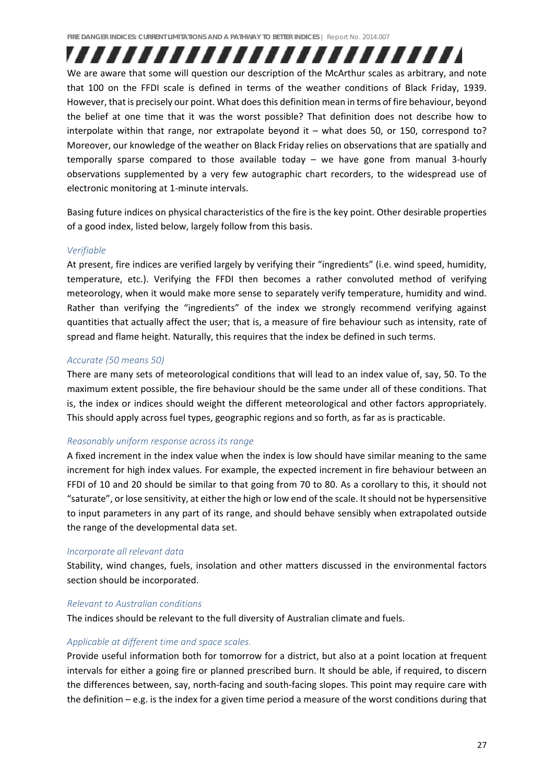,,,,,,,,,,,,,,,,,,,,,,,,,,

We are aware that some will question our description of the McArthur scales as arbitrary, and note that 100 on the FFDI scale is defined in terms of the weather conditions of Black Friday, 1939. However, that is precisely our point. What doesthis definition mean in terms of fire behaviour, beyond the belief at one time that it was the worst possible? That definition does not describe how to interpolate within that range, nor extrapolate beyond it – what does 50, or 150, correspond to? Moreover, our knowledge of the weather on Black Friday relies on observations that are spatially and temporally sparse compared to those available today – we have gone from manual 3‐hourly observations supplemented by a very few autographic chart recorders, to the widespread use of electronic monitoring at 1‐minute intervals.

Basing future indices on physical characteristics of the fire is the key point. Other desirable properties of a good index, listed below, largely follow from this basis.

#### *Verifiable*

At present, fire indices are verified largely by verifying their "ingredients" (i.e. wind speed, humidity, temperature, etc.). Verifying the FFDI then becomes a rather convoluted method of verifying meteorology, when it would make more sense to separately verify temperature, humidity and wind. Rather than verifying the "ingredients" of the index we strongly recommend verifying against quantities that actually affect the user; that is, a measure of fire behaviour such as intensity, rate of spread and flame height. Naturally, this requires that the index be defined in such terms.

#### *Accurate (50 means 50)*

There are many sets of meteorological conditions that will lead to an index value of, say, 50. To the maximum extent possible, the fire behaviour should be the same under all of these conditions. That is, the index or indices should weight the different meteorological and other factors appropriately. This should apply across fuel types, geographic regions and so forth, as far as is practicable.

#### *Reasonably uniform response across its range*

A fixed increment in the index value when the index is low should have similar meaning to the same increment for high index values. For example, the expected increment in fire behaviour between an FFDI of 10 and 20 should be similar to that going from 70 to 80. As a corollary to this, it should not "saturate", or lose sensitivity, at either the high or low end of the scale. It should not be hypersensitive to input parameters in any part of its range, and should behave sensibly when extrapolated outside the range of the developmental data set.

#### *Incorporate all relevant data*

Stability, wind changes, fuels, insolation and other matters discussed in the environmental factors section should be incorporated.

#### *Relevant to Australian conditions*

The indices should be relevant to the full diversity of Australian climate and fuels.

#### Applicable at different time and space scales.

Provide useful information both for tomorrow for a district, but also at a point location at frequent intervals for either a going fire or planned prescribed burn. It should be able, if required, to discern the differences between, say, north‐facing and south‐facing slopes. This point may require care with the definition – e.g. is the index for a given time period a measure of the worst conditions during that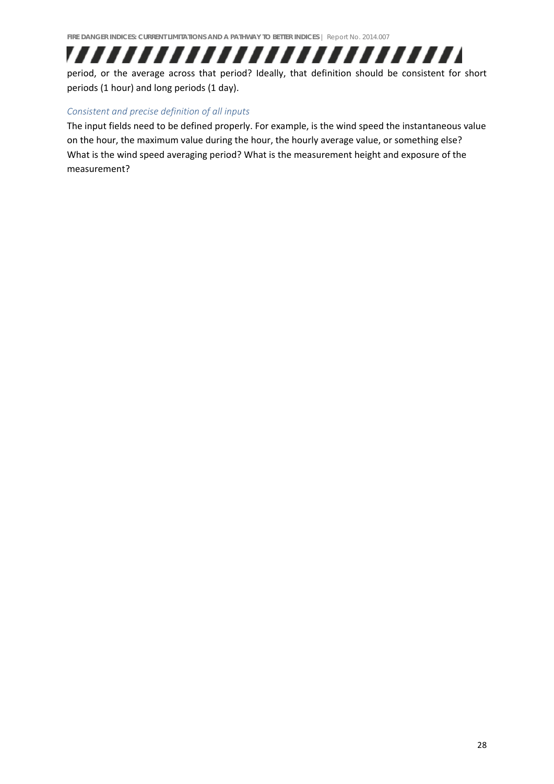## ,,,,,,,,,,,,,,,,,,,,,,,,,

period, or the average across that period? Ideally, that definition should be consistent for short periods (1 hour) and long periods (1 day).

#### *Consistent and precise definition of all inputs*

The input fields need to be defined properly. For example, is the wind speed the instantaneous value on the hour, the maximum value during the hour, the hourly average value, or something else? What is the wind speed averaging period? What is the measurement height and exposure of the measurement?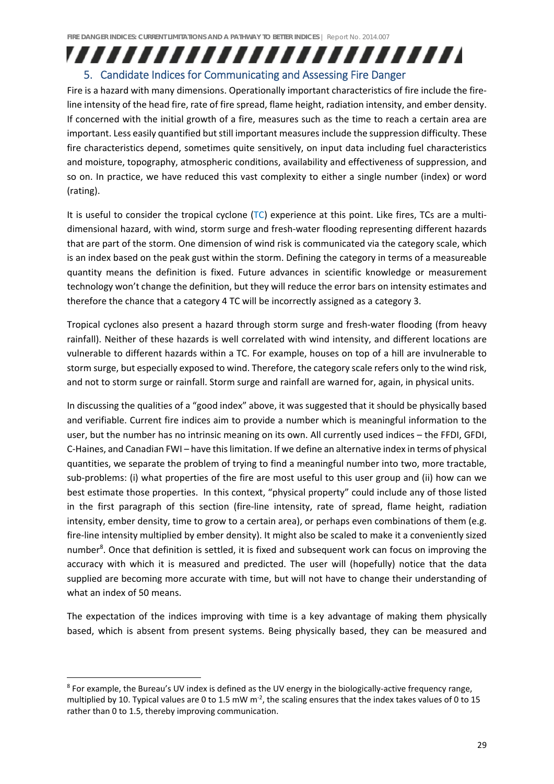## ,,,,,,,,,,,,,,,,,,,,,,,,,

#### 5. Candidate Indices for Communicating and Assessing Fire Danger

Fire is a hazard with many dimensions. Operationally important characteristics of fire include the fireline intensity of the head fire, rate of fire spread, flame height, radiation intensity, and ember density. If concerned with the initial growth of a fire, measures such as the time to reach a certain area are important. Less easily quantified but still important measures include the suppression difficulty. These fire characteristics depend, sometimes quite sensitively, on input data including fuel characteristics and moisture, topography, atmospheric conditions, availability and effectiveness of suppression, and so on. In practice, we have reduced this vast complexity to either a single number (index) or word (rating).

It is useful to consider the tropical cyclone (TC) experience at this point. Like fires, TCs are a multidimensional hazard, with wind, storm surge and fresh‐water flooding representing different hazards that are part of the storm. One dimension of wind risk is communicated via the category scale, which is an index based on the peak gust within the storm. Defining the category in terms of a measureable quantity means the definition is fixed. Future advances in scientific knowledge or measurement technology won't change the definition, but they will reduce the error bars on intensity estimates and therefore the chance that a category 4 TC will be incorrectly assigned as a category 3.

Tropical cyclones also present a hazard through storm surge and fresh‐water flooding (from heavy rainfall). Neither of these hazards is well correlated with wind intensity, and different locations are vulnerable to different hazards within a TC. For example, houses on top of a hill are invulnerable to storm surge, but especially exposed to wind. Therefore, the category scale refers only to the wind risk, and not to storm surge or rainfall. Storm surge and rainfall are warned for, again, in physical units.

In discussing the qualities of a "good index" above, it was suggested that it should be physically based and verifiable. Current fire indices aim to provide a number which is meaningful information to the user, but the number has no intrinsic meaning on its own. All currently used indices – the FFDI, GFDI, C‐Haines, and Canadian FWI – have thislimitation. If we define an alternative index in terms of physical quantities, we separate the problem of trying to find a meaningful number into two, more tractable, sub-problems: (i) what properties of the fire are most useful to this user group and (ii) how can we best estimate those properties. In this context, "physical property" could include any of those listed in the first paragraph of this section (fire-line intensity, rate of spread, flame height, radiation intensity, ember density, time to grow to a certain area), or perhaps even combinations of them (e.g. fire‐line intensity multiplied by ember density). It might also be scaled to make it a conveniently sized number<sup>8</sup>. Once that definition is settled, it is fixed and subsequent work can focus on improving the accuracy with which it is measured and predicted. The user will (hopefully) notice that the data supplied are becoming more accurate with time, but will not have to change their understanding of what an index of 50 means.

The expectation of the indices improving with time is a key advantage of making them physically based, which is absent from present systems. Being physically based, they can be measured and

<sup>8</sup> For example, the Bureau's UV index is defined as the UV energy in the biologically‐active frequency range, multiplied by 10. Typical values are 0 to 1.5 mW  $m<sup>2</sup>$ , the scaling ensures that the index takes values of 0 to 15 rather than 0 to 1.5, thereby improving communication.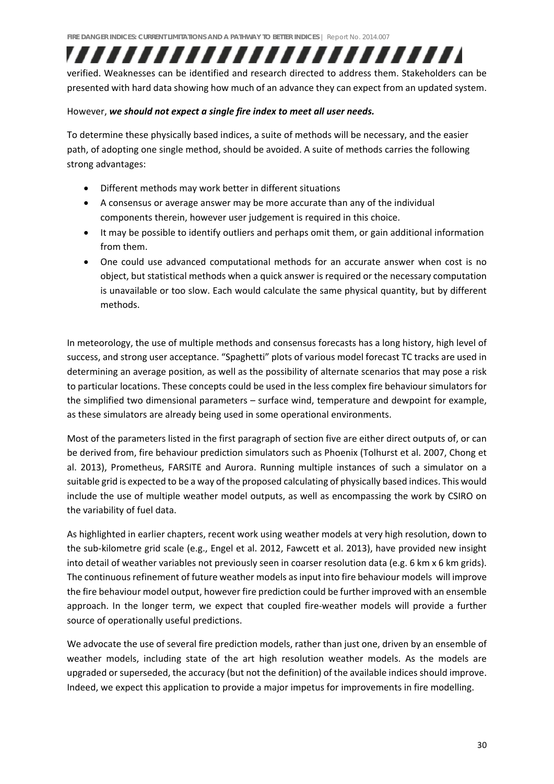## ,,,,,,,,,,,,,,,,,,,,,,,,,

verified. Weaknesses can be identified and research directed to address them. Stakeholders can be presented with hard data showing how much of an advance they can expect from an updated system.

#### However, *we should not expect a single fire index to meet all user needs.*

To determine these physically based indices, a suite of methods will be necessary, and the easier path, of adopting one single method, should be avoided. A suite of methods carries the following strong advantages:

- Different methods may work better in different situations
- A consensus or average answer may be more accurate than any of the individual components therein, however user judgement is required in this choice.
- It may be possible to identify outliers and perhaps omit them, or gain additional information from them.
- One could use advanced computational methods for an accurate answer when cost is no object, but statistical methods when a quick answer is required or the necessary computation is unavailable or too slow. Each would calculate the same physical quantity, but by different methods.

In meteorology, the use of multiple methods and consensus forecasts has a long history, high level of success, and strong user acceptance. "Spaghetti" plots of various model forecast TC tracks are used in determining an average position, as well as the possibility of alternate scenarios that may pose a risk to particular locations. These concepts could be used in the less complex fire behaviour simulators for the simplified two dimensional parameters – surface wind, temperature and dewpoint for example, as these simulators are already being used in some operational environments.

Most of the parameters listed in the first paragraph of section five are either direct outputs of, or can be derived from, fire behaviour prediction simulators such as Phoenix (Tolhurst et al. 2007, Chong et al. 2013), Prometheus, FARSITE and Aurora. Running multiple instances of such a simulator on a suitable grid is expected to be a way of the proposed calculating of physically based indices. This would include the use of multiple weather model outputs, as well as encompassing the work by CSIRO on the variability of fuel data.

As highlighted in earlier chapters, recent work using weather models at very high resolution, down to the sub‐kilometre grid scale (e.g., Engel et al. 2012, Fawcett et al. 2013), have provided new insight into detail of weather variables not previously seen in coarser resolution data (e.g. 6 km x 6 km grids). The continuous refinement of future weather models as input into fire behaviour models will improve the fire behaviour model output, however fire prediction could be further improved with an ensemble approach. In the longer term, we expect that coupled fire‐weather models will provide a further source of operationally useful predictions.

We advocate the use of several fire prediction models, rather than just one, driven by an ensemble of weather models, including state of the art high resolution weather models. As the models are upgraded or superseded, the accuracy (but not the definition) of the available indices should improve. Indeed, we expect this application to provide a major impetus for improvements in fire modelling.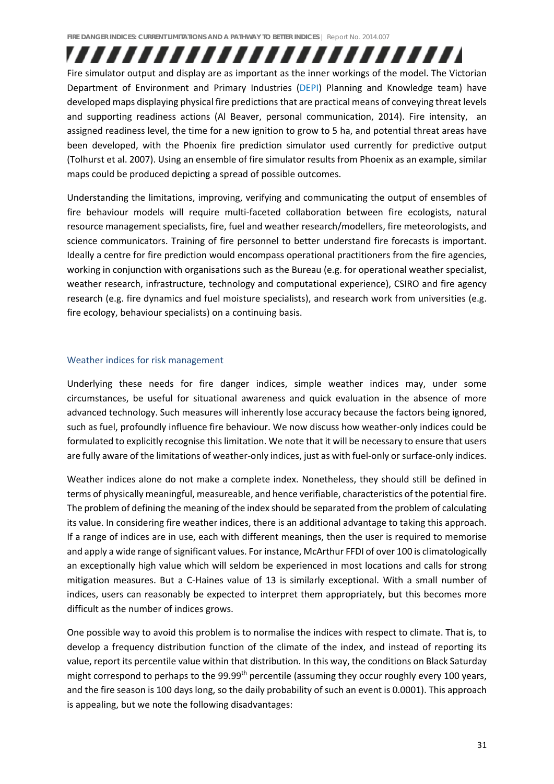Fire simulator output and display are as important as the inner workings of the model. The Victorian Department of Environment and Primary Industries (DEPI) Planning and Knowledge team) have developed maps displaying physical fire predictions that are practical means of conveying threat levels and supporting readiness actions (Al Beaver, personal communication, 2014). Fire intensity, an assigned readiness level, the time for a new ignition to grow to 5 ha, and potential threat areas have been developed, with the Phoenix fire prediction simulator used currently for predictive output (Tolhurst et al. 2007). Using an ensemble of fire simulator results from Phoenix as an example, similar maps could be produced depicting a spread of possible outcomes.

,,,,,,,,,,,,,,,,,,,,,,,,,

Understanding the limitations, improving, verifying and communicating the output of ensembles of fire behaviour models will require multi-faceted collaboration between fire ecologists, natural resource management specialists, fire, fuel and weather research/modellers, fire meteorologists, and science communicators. Training of fire personnel to better understand fire forecasts is important. Ideally a centre for fire prediction would encompass operational practitioners from the fire agencies, working in conjunction with organisations such as the Bureau (e.g. for operational weather specialist, weather research, infrastructure, technology and computational experience), CSIRO and fire agency research (e.g. fire dynamics and fuel moisture specialists), and research work from universities (e.g. fire ecology, behaviour specialists) on a continuing basis.

#### Weather indices for risk management

Underlying these needs for fire danger indices, simple weather indices may, under some circumstances, be useful for situational awareness and quick evaluation in the absence of more advanced technology. Such measures will inherently lose accuracy because the factors being ignored, such as fuel, profoundly influence fire behaviour. We now discuss how weather-only indices could be formulated to explicitly recognise thislimitation. We note that it will be necessary to ensure that users are fully aware of the limitations of weather-only indices, just as with fuel-only or surface-only indices.

Weather indices alone do not make a complete index. Nonetheless, they should still be defined in terms of physically meaningful, measureable, and hence verifiable, characteristics of the potential fire. The problem of defining the meaning of the index should be separated from the problem of calculating its value. In considering fire weather indices, there is an additional advantage to taking this approach. If a range of indices are in use, each with different meanings, then the user is required to memorise and apply a wide range of significant values. For instance, McArthur FFDI of over 100 is climatologically an exceptionally high value which will seldom be experienced in most locations and calls for strong mitigation measures. But a C-Haines value of 13 is similarly exceptional. With a small number of indices, users can reasonably be expected to interpret them appropriately, but this becomes more difficult as the number of indices grows.

One possible way to avoid this problem is to normalise the indices with respect to climate. That is, to develop a frequency distribution function of the climate of the index, and instead of reporting its value, report its percentile value within that distribution. In this way, the conditions on Black Saturday might correspond to perhaps to the 99.99<sup>th</sup> percentile (assuming they occur roughly every 100 years, and the fire season is 100 days long, so the daily probability of such an event is 0.0001). This approach is appealing, but we note the following disadvantages: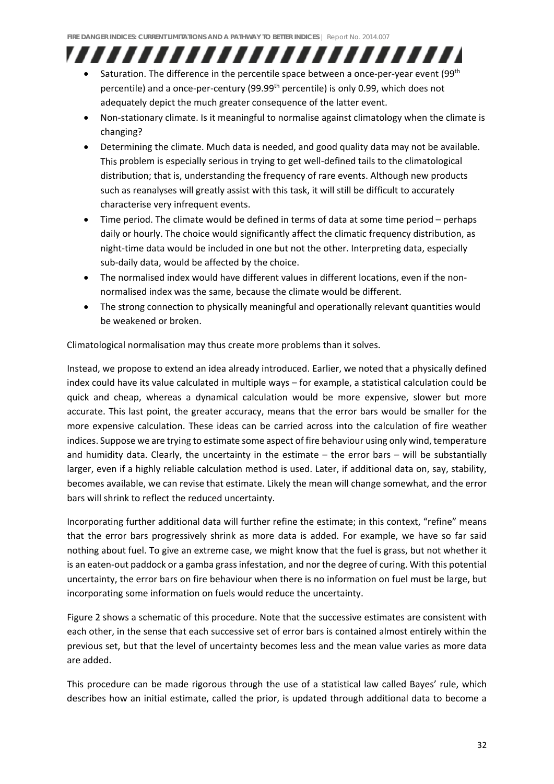## ,,,,,,,,,,,,,,,,,,,,,,,,,

- Saturation. The difference in the percentile space between a once-per-year event (99<sup>th</sup> percentile) and a once-per-century (99.99<sup>th</sup> percentile) is only 0.99, which does not adequately depict the much greater consequence of the latter event.
- Non-stationary climate. Is it meaningful to normalise against climatology when the climate is changing?
- Determining the climate. Much data is needed, and good quality data may not be available. This problem is especially serious in trying to get well‐defined tails to the climatological distribution; that is, understanding the frequency of rare events. Although new products such as reanalyses will greatly assist with this task, it will still be difficult to accurately characterise very infrequent events.
- Time period. The climate would be defined in terms of data at some time period perhaps daily or hourly. The choice would significantly affect the climatic frequency distribution, as night-time data would be included in one but not the other. Interpreting data, especially sub-daily data, would be affected by the choice.
- The normalised index would have different values in different locations, even if the nonnormalised index was the same, because the climate would be different.
- The strong connection to physically meaningful and operationally relevant quantities would be weakened or broken.

Climatological normalisation may thus create more problems than it solves.

Instead, we propose to extend an idea already introduced. Earlier, we noted that a physically defined index could have its value calculated in multiple ways – for example, a statistical calculation could be quick and cheap, whereas a dynamical calculation would be more expensive, slower but more accurate. This last point, the greater accuracy, means that the error bars would be smaller for the more expensive calculation. These ideas can be carried across into the calculation of fire weather indices. Suppose we are trying to estimate some aspect of fire behaviour using only wind, temperature and humidity data. Clearly, the uncertainty in the estimate – the error bars – will be substantially larger, even if a highly reliable calculation method is used. Later, if additional data on, say, stability, becomes available, we can revise that estimate. Likely the mean will change somewhat, and the error bars will shrink to reflect the reduced uncertainty.

Incorporating further additional data will further refine the estimate; in this context, "refine" means that the error bars progressively shrink as more data is added. For example, we have so far said nothing about fuel. To give an extreme case, we might know that the fuel is grass, but not whether it is an eaten-out paddock or a gamba grass infestation, and nor the degree of curing. With this potential uncertainty, the error bars on fire behaviour when there is no information on fuel must be large, but incorporating some information on fuels would reduce the uncertainty.

Figure 2 shows a schematic of this procedure. Note that the successive estimates are consistent with each other, in the sense that each successive set of error bars is contained almost entirely within the previous set, but that the level of uncertainty becomes less and the mean value varies as more data are added.

This procedure can be made rigorous through the use of a statistical law called Bayes' rule, which describes how an initial estimate, called the prior, is updated through additional data to become a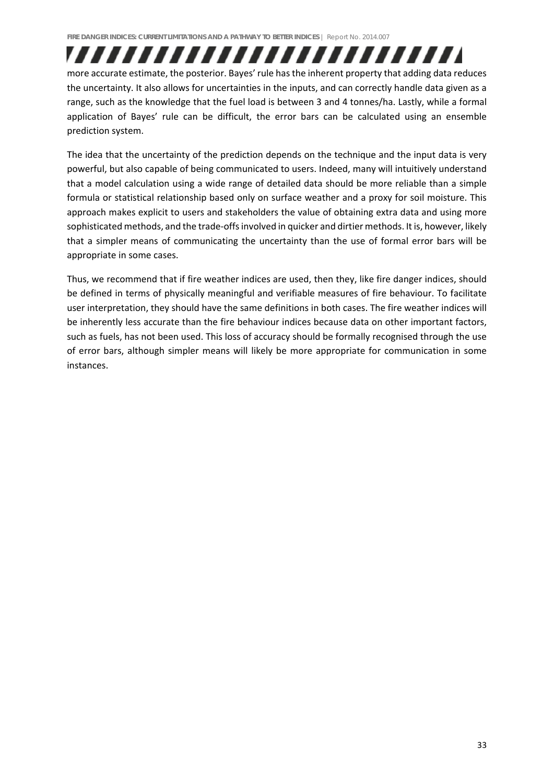more accurate estimate, the posterior. Bayes' rule has the inherent property that adding data reduces the uncertainty. It also allows for uncertainties in the inputs, and can correctly handle data given as a range, such as the knowledge that the fuel load is between 3 and 4 tonnes/ha. Lastly, while a formal application of Bayes' rule can be difficult, the error bars can be calculated using an ensemble prediction system.

,,,,,,,,,,,,,,,,,,,,,,,,,

The idea that the uncertainty of the prediction depends on the technique and the input data is very powerful, but also capable of being communicated to users. Indeed, many will intuitively understand that a model calculation using a wide range of detailed data should be more reliable than a simple formula or statistical relationship based only on surface weather and a proxy for soil moisture. This approach makes explicit to users and stakeholders the value of obtaining extra data and using more sophisticated methods, and the trade-offs involved in quicker and dirtier methods. It is, however, likely that a simpler means of communicating the uncertainty than the use of formal error bars will be appropriate in some cases.

Thus, we recommend that if fire weather indices are used, then they, like fire danger indices, should be defined in terms of physically meaningful and verifiable measures of fire behaviour. To facilitate user interpretation, they should have the same definitions in both cases. The fire weather indices will be inherently less accurate than the fire behaviour indices because data on other important factors, such as fuels, has not been used. This loss of accuracy should be formally recognised through the use of error bars, although simpler means will likely be more appropriate for communication in some instances.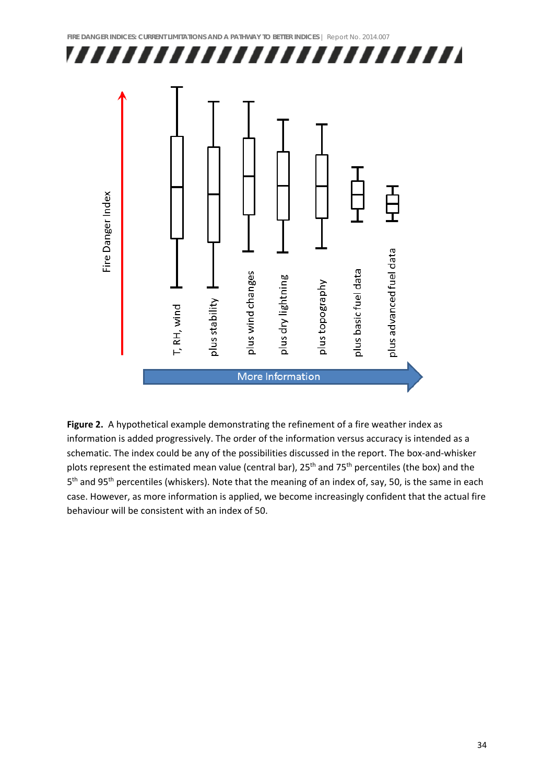

**Figure 2.** A hypothetical example demonstrating the refinement of a fire weather index as information is added progressively. The order of the information versus accuracy is intended as a schematic. The index could be any of the possibilities discussed in the report. The box-and-whisker plots represent the estimated mean value (central bar), 25<sup>th</sup> and 75<sup>th</sup> percentiles (the box) and the 5<sup>th</sup> and 95<sup>th</sup> percentiles (whiskers). Note that the meaning of an index of, say, 50, is the same in each case. However, as more information is applied, we become increasingly confident that the actual fire behaviour will be consistent with an index of 50.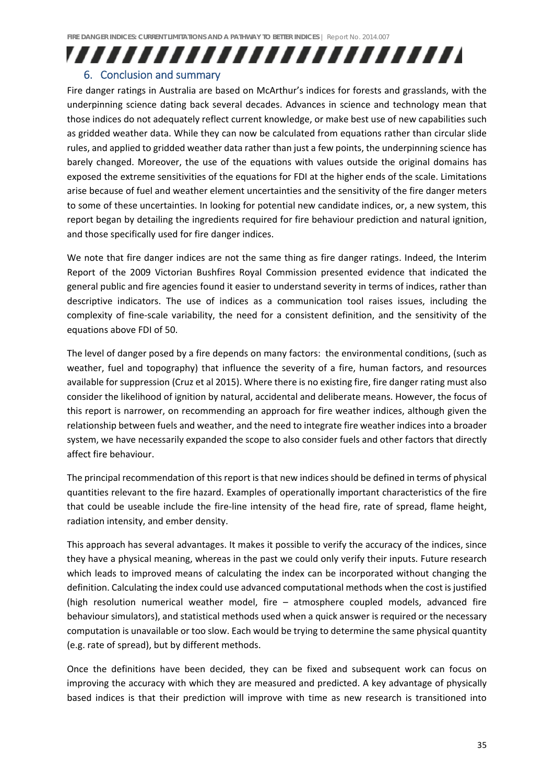# ,,,,,,,,,,,,,,,,,,,,,,,,,,

#### 6. Conclusion and summary

Fire danger ratings in Australia are based on McArthur's indices for forests and grasslands, with the underpinning science dating back several decades. Advances in science and technology mean that those indices do not adequately reflect current knowledge, or make best use of new capabilities such as gridded weather data. While they can now be calculated from equations rather than circular slide rules, and applied to gridded weather data rather than just a few points, the underpinning science has barely changed. Moreover, the use of the equations with values outside the original domains has exposed the extreme sensitivities of the equations for FDI at the higher ends of the scale. Limitations arise because of fuel and weather element uncertainties and the sensitivity of the fire danger meters to some of these uncertainties. In looking for potential new candidate indices, or, a new system, this report began by detailing the ingredients required for fire behaviour prediction and natural ignition, and those specifically used for fire danger indices.

We note that fire danger indices are not the same thing as fire danger ratings. Indeed, the Interim Report of the 2009 Victorian Bushfires Royal Commission presented evidence that indicated the general public and fire agencies found it easier to understand severity in terms of indices, rather than descriptive indicators. The use of indices as a communication tool raises issues, including the complexity of fine-scale variability, the need for a consistent definition, and the sensitivity of the equations above FDI of 50.

The level of danger posed by a fire depends on many factors: the environmental conditions, (such as weather, fuel and topography) that influence the severity of a fire, human factors, and resources available for suppression (Cruz et al 2015). Where there is no existing fire, fire danger rating must also consider the likelihood of ignition by natural, accidental and deliberate means. However, the focus of this report is narrower, on recommending an approach for fire weather indices, although given the relationship between fuels and weather, and the need to integrate fire weather indices into a broader system, we have necessarily expanded the scope to also consider fuels and other factors that directly affect fire behaviour.

The principal recommendation of this report is that new indices should be defined in terms of physical quantities relevant to the fire hazard. Examples of operationally important characteristics of the fire that could be useable include the fire‐line intensity of the head fire, rate of spread, flame height, radiation intensity, and ember density.

This approach has several advantages. It makes it possible to verify the accuracy of the indices, since they have a physical meaning, whereas in the past we could only verify their inputs. Future research which leads to improved means of calculating the index can be incorporated without changing the definition. Calculating the index could use advanced computational methods when the cost is justified (high resolution numerical weather model, fire – atmosphere coupled models, advanced fire behaviour simulators), and statistical methods used when a quick answer is required or the necessary computation is unavailable or too slow. Each would be trying to determine the same physical quantity (e.g. rate of spread), but by different methods.

Once the definitions have been decided, they can be fixed and subsequent work can focus on improving the accuracy with which they are measured and predicted. A key advantage of physically based indices is that their prediction will improve with time as new research is transitioned into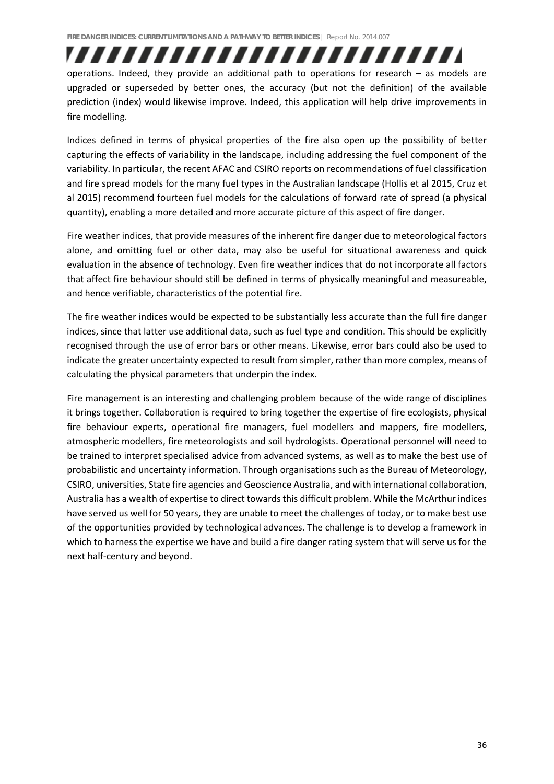,,,,,,,,,,,,,,,,,,,,,,,,, operations. Indeed, they provide an additional path to operations for research – as models are upgraded or superseded by better ones, the accuracy (but not the definition) of the available prediction (index) would likewise improve. Indeed, this application will help drive improvements in fire modelling.

Indices defined in terms of physical properties of the fire also open up the possibility of better capturing the effects of variability in the landscape, including addressing the fuel component of the variability. In particular, the recent AFAC and CSIRO reports on recommendations of fuel classification and fire spread models for the many fuel types in the Australian landscape (Hollis et al 2015, Cruz et al 2015) recommend fourteen fuel models for the calculations of forward rate of spread (a physical quantity), enabling a more detailed and more accurate picture of this aspect of fire danger.

Fire weather indices, that provide measures of the inherent fire danger due to meteorological factors alone, and omitting fuel or other data, may also be useful for situational awareness and quick evaluation in the absence of technology. Even fire weather indices that do not incorporate all factors that affect fire behaviour should still be defined in terms of physically meaningful and measureable, and hence verifiable, characteristics of the potential fire.

The fire weather indices would be expected to be substantially less accurate than the full fire danger indices, since that latter use additional data, such as fuel type and condition. This should be explicitly recognised through the use of error bars or other means. Likewise, error bars could also be used to indicate the greater uncertainty expected to result from simpler, rather than more complex, means of calculating the physical parameters that underpin the index.

Fire management is an interesting and challenging problem because of the wide range of disciplines it brings together. Collaboration is required to bring together the expertise of fire ecologists, physical fire behaviour experts, operational fire managers, fuel modellers and mappers, fire modellers, atmospheric modellers, fire meteorologists and soil hydrologists. Operational personnel will need to be trained to interpret specialised advice from advanced systems, as well as to make the best use of probabilistic and uncertainty information. Through organisations such as the Bureau of Meteorology, CSIRO, universities, State fire agencies and Geoscience Australia, and with international collaboration, Australia has a wealth of expertise to direct towards this difficult problem. While the McArthur indices have served us well for 50 years, they are unable to meet the challenges of today, or to make best use of the opportunities provided by technological advances. The challenge is to develop a framework in which to harness the expertise we have and build a fire danger rating system that will serve us for the next half‐century and beyond.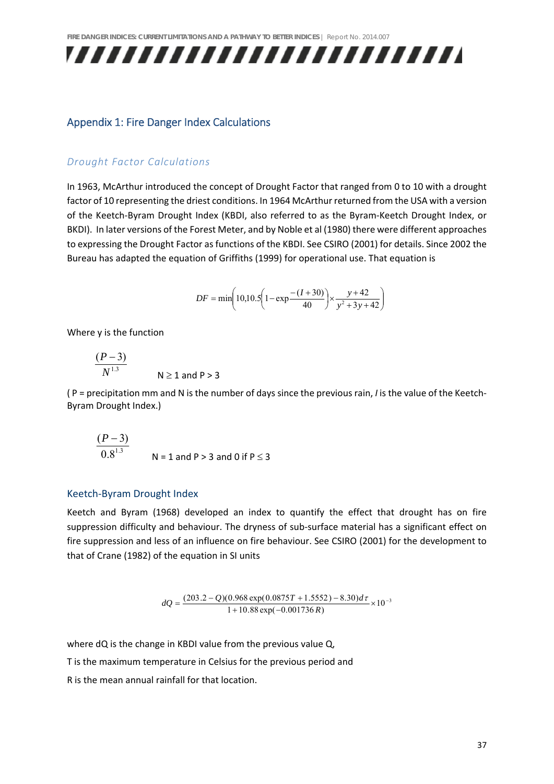

#### Appendix 1: Fire Danger Index Calculations

#### *Drought Factor Calculations*

In 1963, McArthur introduced the concept of Drought Factor that ranged from 0 to 10 with a drought factor of 10 representing the driest conditions. In 1964 McArthur returned from the USA with a version of the Keetch‐Byram Drought Index (KBDI, also referred to as the Byram‐Keetch Drought Index, or BKDI). In later versions of the Forest Meter, and by Noble et al (1980) there were different approaches to expressing the Drought Factor as functions of the KBDI. See CSIRO (2001) for details. Since 2002 the Bureau has adapted the equation of Griffiths (1999) for operational use. That equation is

$$
DF = \min\left(10, 10.5\left(1 - \exp\frac{-(I+30)}{40}\right) \times \frac{y+42}{y^2+3y+42}\right)
$$

Where y is the function

$$
\frac{(P-3)}{N^{1.3}}
$$
 N \ge 1 and P > 3

( P = precipitation mm and N is the number of days since the previous rain, *I* is the value of the Keetch‐ Byram Drought Index.)

$$
\frac{(P-3)}{0.8^{1.3}}
$$
 N = 1 and P > 3 and 0 if P \le 3

#### Keetch‐Byram Drought Index

Keetch and Byram (1968) developed an index to quantify the effect that drought has on fire suppression difficulty and behaviour. The dryness of sub-surface material has a significant effect on fire suppression and less of an influence on fire behaviour. See CSIRO (2001) for the development to that of Crane (1982) of the equation in SI units

 $dQ = \frac{(203.2 - Q)(0.968 \exp(0.0875T + 1.5552) - 8.30) d\tau}{1 + 10.88 \exp(-0.001736 R)} \times 10^{-3}$ 

where dQ is the change in KBDI value from the previous value Q,

T is the maximum temperature in Celsius for the previous period and

R is the mean annual rainfall for that location.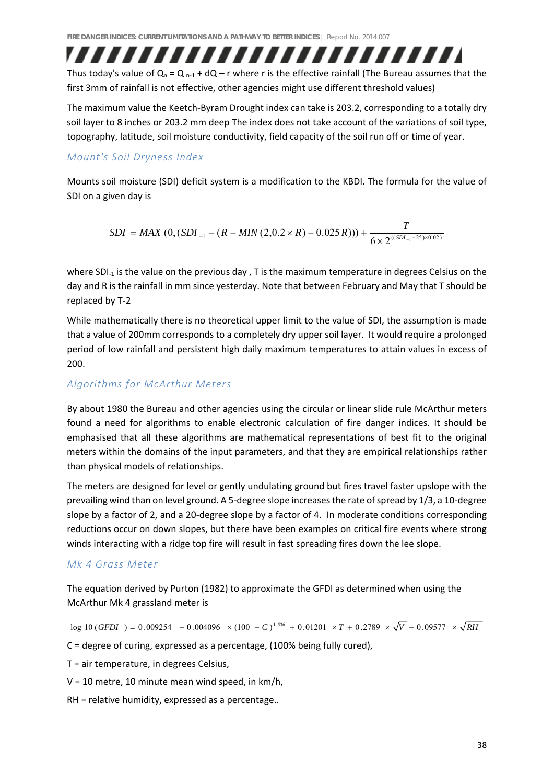Thus today's value of  $Q_n = Q_{n-1} + dQ - r$  where r is the effective rainfall (The Bureau assumes that the first 3mm of rainfall is not effective, other agencies might use different threshold values)

,,,,,,,,,,,,,,,,,,,,,,,,,,

The maximum value the Keetch‐Byram Drought index can take is 203.2, corresponding to a totally dry soil layer to 8 inches or 203.2 mm deep The index does not take account of the variations of soil type, topography, latitude, soil moisture conductivity, field capacity of the soil run off or time of year.

#### *Mount's Soil Dryness Index*

Mounts soil moisture (SDI) deficit system is a modification to the KBDI. The formula for the value of SDI on a given day is

$$
SDI = MAX (0, (SDI_{-1} - (R - MIN(2, 0.2 \times R) - 0.025 R))) + \frac{T}{6 \times 2^{((SDI_{-1} - 25) \times 0.02)}}
$$

where SDI<sub>-1</sub> is the value on the previous day , T is the maximum temperature in degrees Celsius on the day and R is the rainfall in mm since yesterday. Note that between February and May that T should be replaced by T‐2

While mathematically there is no theoretical upper limit to the value of SDI, the assumption is made that a value of 200mm corresponds to a completely dry upper soil layer. It would require a prolonged period of low rainfall and persistent high daily maximum temperatures to attain values in excess of 200.

#### *Algorithms for McArthur Meters*

By about 1980 the Bureau and other agencies using the circular or linear slide rule McArthur meters found a need for algorithms to enable electronic calculation of fire danger indices. It should be emphasised that all these algorithms are mathematical representations of best fit to the original meters within the domains of the input parameters, and that they are empirical relationships rather than physical models of relationships.

The meters are designed for level or gently undulating ground but fires travel faster upslope with the prevailing wind than on level ground. A 5-degree slope increases the rate of spread by 1/3, a 10-degree slope by a factor of 2, and a 20-degree slope by a factor of 4. In moderate conditions corresponding reductions occur on down slopes, but there have been examples on critical fire events where strong winds interacting with a ridge top fire will result in fast spreading fires down the lee slope.

#### *Mk 4 Grass Meter*

The equation derived by Purton (1982) to approximate the GFDI as determined when using the McArthur Mk 4 grassland meter is

 $\log 10 (GFDI) = 0.009254 - 0.004096 \times (100 - C)^{1.536} + 0.01201 \times T + 0.2789 \times \sqrt{V} - 0.09577 \times \sqrt{RH}$ C = degree of curing, expressed as a percentage, (100% being fully cured), T = air temperature, in degrees Celsius,  $V = 10$  metre, 10 minute mean wind speed, in  $km/h$ , RH = relative humidity, expressed as a percentage..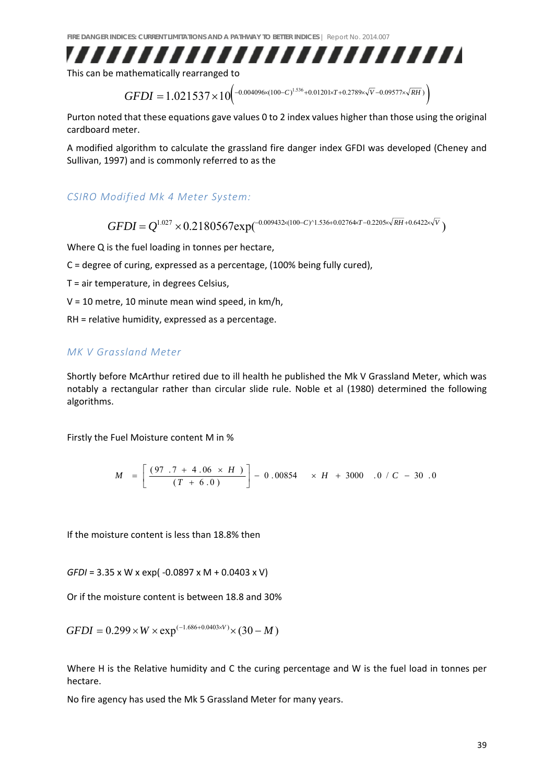

This can be mathematically rearranged to

 $GFDI = 1.021537 \times 10^{\left(-0.004096 \times (100-C)^{1.536}+0.01201 \times T+0.2789 \times \sqrt{V}-0.09577 \times \sqrt{RH}}\right)$ 

Purton noted that these equations gave values 0 to 2 index values higher than those using the original cardboard meter.

A modified algorithm to calculate the grassland fire danger index GFDI was developed (Cheney and Sullivan, 1997) and is commonly referred to as the

*CSIRO Modified Mk 4 Meter System:* 

$$
GFDI = Q^{1.027} \times 0.2180567 \exp(-0.009432 \times (100 - C)^{1.536 + 0.02764 \times T - 0.2205 \times \sqrt{RH} + 0.6422 \times \sqrt{V}})
$$

Where Q is the fuel loading in tonnes per hectare,

C = degree of curing, expressed as a percentage, (100% being fully cured),

T = air temperature, in degrees Celsius,

 $V = 10$  metre, 10 minute mean wind speed, in km/h,

RH = relative humidity, expressed as a percentage.

#### *MK V Grassland Meter*

Shortly before McArthur retired due to ill health he published the Mk V Grassland Meter, which was notably a rectangular rather than circular slide rule. Noble et al (1980) determined the following algorithms.

Firstly the Fuel Moisture content M in %

$$
M = \left[ \frac{(97.7 + 4.06 \times H)}{(T + 6.0)} \right] - 0.00854 \times H + 3000.0 / C - 30.0
$$

If the moisture content is less than 18.8% then

*GFDI* = 3.35 x W x exp( ‐0.0897 x M + 0.0403 x V)

Or if the moisture content is between 18.8 and 30%

 $GFDI = 0.299 \times W \times \exp^{(-1.686 + 0.0403 \times V)} \times (30 - M)$ 

Where H is the Relative humidity and C the curing percentage and W is the fuel load in tonnes per hectare.

No fire agency has used the Mk 5 Grassland Meter for many years.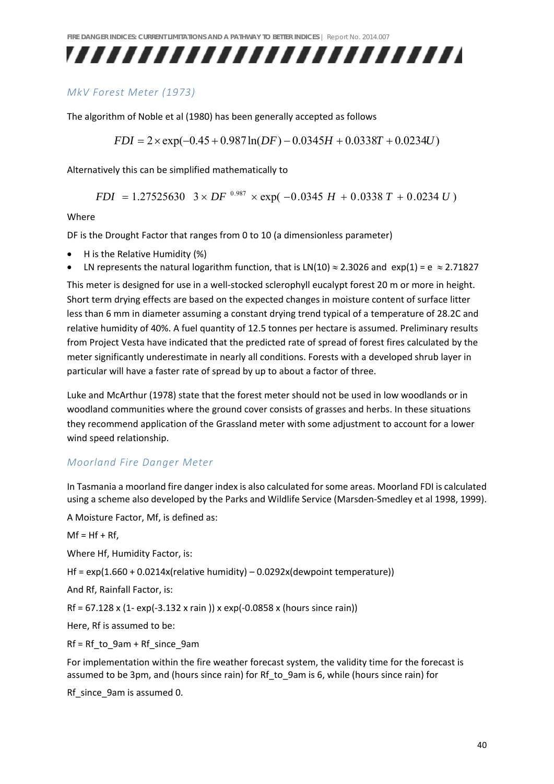## ,,,,,,,,,,,,,,,,,,,,,,,,,,

#### *MkV Forest Meter (1973)*

The algorithm of Noble et al (1980) has been generally accepted as follows

$$
FDI = 2 \times \exp(-0.45 + 0.987 \ln(DF) - 0.0345H + 0.0338T + 0.0234U)
$$

Alternatively this can be simplified mathematically to

 $FDI = 1.27525630 \quad 3 \times DF^{0.987} \times \exp(-0.0345 H + 0.0338 T + 0.0234 U)$ 

#### Where

DF is the Drought Factor that ranges from 0 to 10 (a dimensionless parameter)

- H is the Relative Humidity (%)
- LN represents the natural logarithm function, that is LN(10)  $\approx$  2.3026 and  $\exp(1) = e \approx 2.71827$

This meter is designed for use in a well‐stocked sclerophyll eucalypt forest 20 m or more in height. Short term drying effects are based on the expected changes in moisture content of surface litter less than 6 mm in diameter assuming a constant drying trend typical of a temperature of 28.2C and relative humidity of 40%. A fuel quantity of 12.5 tonnes per hectare is assumed. Preliminary results from Project Vesta have indicated that the predicted rate of spread of forest fires calculated by the meter significantly underestimate in nearly all conditions. Forests with a developed shrub layer in particular will have a faster rate of spread by up to about a factor of three.

Luke and McArthur (1978) state that the forest meter should not be used in low woodlands or in woodland communities where the ground cover consists of grasses and herbs. In these situations they recommend application of the Grassland meter with some adjustment to account for a lower wind speed relationship.

#### *Moorland Fire Danger Meter*

In Tasmania a moorland fire danger index is also calculated for some areas. Moorland FDI is calculated using a scheme also developed by the Parks and Wildlife Service (Marsden‐Smedley et al 1998, 1999).

A Moisture Factor, Mf, is defined as:

 $Mf = Hf + Rf$ .

Where Hf, Humidity Factor, is:

Hf =  $exp(1.660 + 0.0214x$  (relative humidity) – 0.0292x (dewpoint temperature))

And Rf, Rainfall Factor, is:

Rf =  $67.128 \times (1- \exp(-3.132 \times \text{rain})) \times \exp(-0.0858 \times (\text{hours since rain}))$ 

Here, Rf is assumed to be:

Rf = Rf\_to\_9am + Rf\_since\_9am

For implementation within the fire weather forecast system, the validity time for the forecast is assumed to be 3pm, and (hours since rain) for Rf\_to\_9am is 6, while (hours since rain) for

Rf\_since\_9am is assumed 0.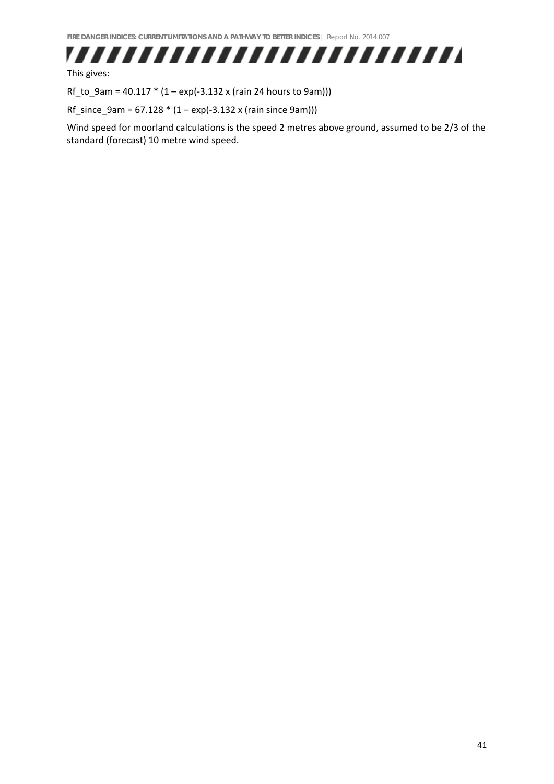

This gives:

Rf\_to\_9am = 40.117  $*(1 - \exp(-3.132 \times (\text{rain } 24 \text{ hours to 9am})))$ 

 $Rf\_since\_9am = 67.128 * (1 - exp(-3.132 x (rain since 9am)))$ 

Wind speed for moorland calculations is the speed 2 metres above ground, assumed to be 2/3 of the standard (forecast) 10 metre wind speed.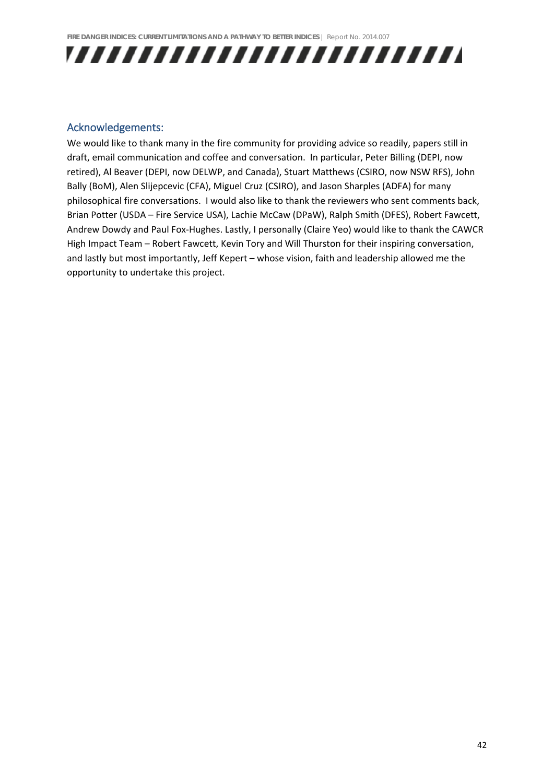

#### Acknowledgements:

We would like to thank many in the fire community for providing advice so readily, papers still in draft, email communication and coffee and conversation. In particular, Peter Billing (DEPI, now retired), Al Beaver (DEPI, now DELWP, and Canada), Stuart Matthews (CSIRO, now NSW RFS), John Bally (BoM), Alen Slijepcevic (CFA), Miguel Cruz (CSIRO), and Jason Sharples (ADFA) for many philosophical fire conversations. I would also like to thank the reviewers who sent comments back, Brian Potter (USDA – Fire Service USA), Lachie McCaw (DPaW), Ralph Smith (DFES), Robert Fawcett, Andrew Dowdy and Paul Fox‐Hughes. Lastly, I personally (Claire Yeo) would like to thank the CAWCR High Impact Team – Robert Fawcett, Kevin Tory and Will Thurston for their inspiring conversation, and lastly but most importantly, Jeff Kepert – whose vision, faith and leadership allowed me the opportunity to undertake this project.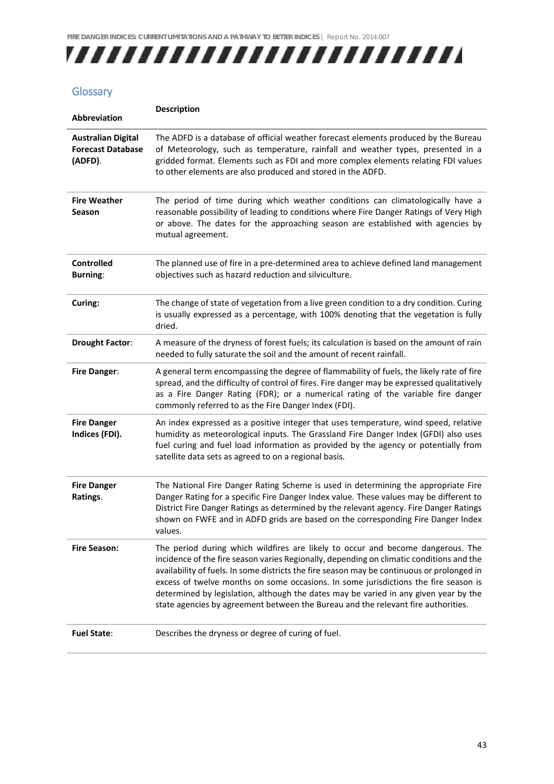

### **Glossary**

| Abbreviation                                                     | <b>Description</b>                                                                                                                                                                                                                                                                                                                                                                                                                                                                                                                            |
|------------------------------------------------------------------|-----------------------------------------------------------------------------------------------------------------------------------------------------------------------------------------------------------------------------------------------------------------------------------------------------------------------------------------------------------------------------------------------------------------------------------------------------------------------------------------------------------------------------------------------|
| <b>Australian Digital</b><br><b>Forecast Database</b><br>(ADFD). | The ADFD is a database of official weather forecast elements produced by the Bureau<br>of Meteorology, such as temperature, rainfall and weather types, presented in a<br>gridded format. Elements such as FDI and more complex elements relating FDI values<br>to other elements are also produced and stored in the ADFD.                                                                                                                                                                                                                   |
| <b>Fire Weather</b><br>Season                                    | The period of time during which weather conditions can climatologically have a<br>reasonable possibility of leading to conditions where Fire Danger Ratings of Very High<br>or above. The dates for the approaching season are established with agencies by<br>mutual agreement.                                                                                                                                                                                                                                                              |
| <b>Controlled</b><br><b>Burning:</b>                             | The planned use of fire in a pre-determined area to achieve defined land management<br>objectives such as hazard reduction and silviculture.                                                                                                                                                                                                                                                                                                                                                                                                  |
| Curing:                                                          | The change of state of vegetation from a live green condition to a dry condition. Curing<br>is usually expressed as a percentage, with 100% denoting that the vegetation is fully<br>dried.                                                                                                                                                                                                                                                                                                                                                   |
| <b>Drought Factor:</b>                                           | A measure of the dryness of forest fuels; its calculation is based on the amount of rain<br>needed to fully saturate the soil and the amount of recent rainfall.                                                                                                                                                                                                                                                                                                                                                                              |
| <b>Fire Danger:</b>                                              | A general term encompassing the degree of flammability of fuels, the likely rate of fire<br>spread, and the difficulty of control of fires. Fire danger may be expressed qualitatively<br>as a Fire Danger Rating (FDR); or a numerical rating of the variable fire danger<br>commonly referred to as the Fire Danger Index (FDI).                                                                                                                                                                                                            |
| <b>Fire Danger</b><br>Indices (FDI).                             | An index expressed as a positive integer that uses temperature, wind speed, relative<br>humidity as meteorological inputs. The Grassland Fire Danger Index (GFDI) also uses<br>fuel curing and fuel load information as provided by the agency or potentially from<br>satellite data sets as agreed to on a regional basis.                                                                                                                                                                                                                   |
| <b>Fire Danger</b><br>Ratings.                                   | The National Fire Danger Rating Scheme is used in determining the appropriate Fire<br>Danger Rating for a specific Fire Danger Index value. These values may be different to<br>District Fire Danger Ratings as determined by the relevant agency. Fire Danger Ratings<br>shown on FWFE and in ADFD grids are based on the corresponding Fire Danger Index<br>values.                                                                                                                                                                         |
| <b>Fire Season:</b>                                              | The period during which wildfires are likely to occur and become dangerous. The<br>incidence of the fire season varies Regionally, depending on climatic conditions and the<br>availability of fuels. In some districts the fire season may be continuous or prolonged in<br>excess of twelve months on some occasions. In some jurisdictions the fire season is<br>determined by legislation, although the dates may be varied in any given year by the<br>state agencies by agreement between the Bureau and the relevant fire authorities. |
| <b>Fuel State:</b>                                               | Describes the dryness or degree of curing of fuel.                                                                                                                                                                                                                                                                                                                                                                                                                                                                                            |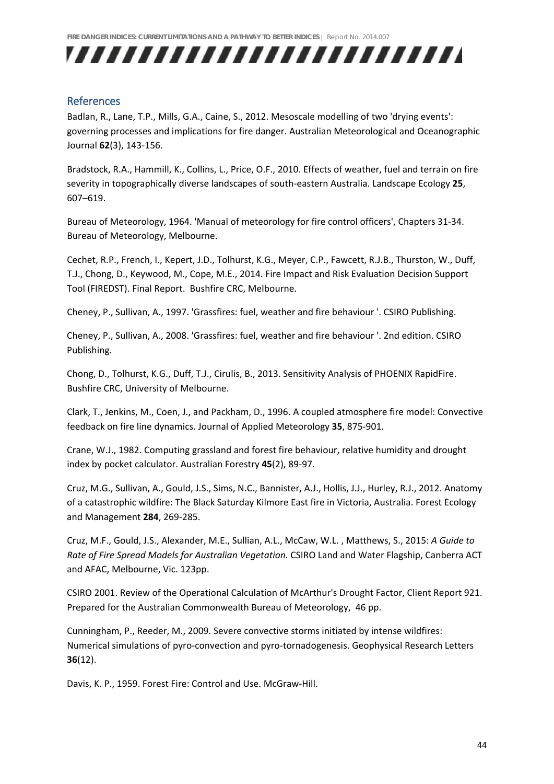

#### References

Badlan, R., Lane, T.P., Mills, G.A., Caine, S., 2012. Mesoscale modelling of two 'drying events': governing processes and implications for fire danger. Australian Meteorological and Oceanographic Journal **62**(3), 143‐156.

Bradstock, R.A., Hammill, K., Collins, L., Price, O.F., 2010. Effects of weather, fuel and terrain on fire severity in topographically diverse landscapes of south‐eastern Australia. Landscape Ecology **25**, 607–619.

Bureau of Meteorology, 1964. 'Manual of meteorology for fire control officers', Chapters 31‐34. Bureau of Meteorology, Melbourne.

Cechet, R.P., French, I., Kepert, J.D., Tolhurst, K.G., Meyer, C.P., Fawcett, R.J.B., Thurston, W., Duff, T.J., Chong, D., Keywood, M., Cope, M.E., 2014. Fire Impact and Risk Evaluation Decision Support Tool (FIREDST). Final Report. Bushfire CRC, Melbourne.

Cheney, P., Sullivan, A., 1997. 'Grassfires: fuel, weather and fire behaviour '. CSIRO Publishing.

Cheney, P., Sullivan, A., 2008. 'Grassfires: fuel, weather and fire behaviour '. 2nd edition. CSIRO Publishing.

Chong, D., Tolhurst, K.G., Duff, T.J., Cirulis, B., 2013. Sensitivity Analysis of PHOENIX RapidFire. Bushfire CRC, University of Melbourne.

Clark, T., Jenkins, M., Coen, J., and Packham, D., 1996. A coupled atmosphere fire model: Convective feedback on fire line dynamics. Journal of Applied Meteorology **35**, 875‐901.

Crane, W.J., 1982. Computing grassland and forest fire behaviour, relative humidity and drought index by pocket calculator. Australian Forestry **45**(2), 89‐97.

Cruz, M.G., Sullivan, A., Gould, J.S., Sims, N.C., Bannister, A.J., Hollis, J.J., Hurley, R.J., 2012. Anatomy of a catastrophic wildfire: The Black Saturday Kilmore East fire in Victoria, Australia. Forest Ecology and Management **284**, 269‐285.

Cruz, M.F., Gould, J.S., Alexander, M.E., Sullian, A.L., McCaw, W.L. , Matthews, S., 2015: *A Guide to Rate of Fire Spread Models for Australian Vegetation.* CSIRO Land and Water Flagship, Canberra ACT and AFAC, Melbourne, Vic. 123pp.

CSIRO 2001. Review of the Operational Calculation of McArthur's Drought Factor, Client Report 921. Prepared for the Australian Commonwealth Bureau of Meteorology, 46 pp.

Cunningham, P., Reeder, M., 2009. Severe convective storms initiated by intense wildfires: Numerical simulations of pyro‐convection and pyro‐tornadogenesis. Geophysical Research Letters **36**(12).

Davis, K. P., 1959. Forest Fire: Control and Use. McGraw‐Hill.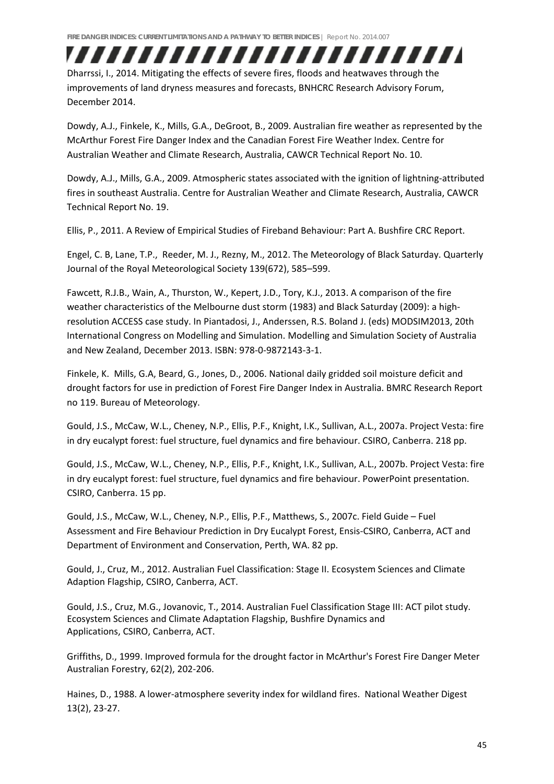## ,,,,,,,,,,,,,,,,,,,,,,,,,,

Dharrssi, I., 2014. Mitigating the effects of severe fires, floods and heatwaves through the improvements of land dryness measures and forecasts, BNHCRC Research Advisory Forum, December 2014.

Dowdy, A.J., Finkele, K., Mills, G.A., DeGroot, B., 2009. Australian fire weather as represented by the McArthur Forest Fire Danger Index and the Canadian Forest Fire Weather Index. Centre for Australian Weather and Climate Research, Australia, CAWCR Technical Report No. 10.

Dowdy, A.J., Mills, G.A., 2009. Atmospheric states associated with the ignition of lightning‐attributed fires in southeast Australia. Centre for Australian Weather and Climate Research, Australia, CAWCR Technical Report No. 19.

Ellis, P., 2011. A Review of Empirical Studies of Fireband Behaviour: Part A. Bushfire CRC Report.

Engel, C. B, Lane, T.P., Reeder, M. J., Rezny, M., 2012. The Meteorology of Black Saturday. Quarterly Journal of the Royal Meteorological Society 139(672), 585–599.

Fawcett, R.J.B., Wain, A., Thurston, W., Kepert, J.D., Tory, K.J., 2013. A comparison of the fire weather characteristics of the Melbourne dust storm (1983) and Black Saturday (2009): a highresolution ACCESS case study. In Piantadosi, J., Anderssen, R.S. Boland J. (eds) MODSIM2013, 20th International Congress on Modelling and Simulation. Modelling and Simulation Society of Australia and New Zealand, December 2013. ISBN: 978‐0‐9872143‐3‐1.

Finkele, K. Mills, G.A, Beard, G., Jones, D., 2006. National daily gridded soil moisture deficit and drought factors for use in prediction of Forest Fire Danger Index in Australia. BMRC Research Report no 119. Bureau of Meteorology.

Gould, J.S., McCaw, W.L., Cheney, N.P., Ellis, P.F., Knight, I.K., Sullivan, A.L., 2007a. Project Vesta: fire in dry eucalypt forest: fuel structure, fuel dynamics and fire behaviour. CSIRO, Canberra. 218 pp.

Gould, J.S., McCaw, W.L., Cheney, N.P., Ellis, P.F., Knight, I.K., Sullivan, A.L., 2007b. Project Vesta: fire in dry eucalypt forest: fuel structure, fuel dynamics and fire behaviour. PowerPoint presentation. CSIRO, Canberra. 15 pp.

Gould, J.S., McCaw, W.L., Cheney, N.P., Ellis, P.F., Matthews, S., 2007c. Field Guide – Fuel Assessment and Fire Behaviour Prediction in Dry Eucalypt Forest, Ensis‐CSIRO, Canberra, ACT and Department of Environment and Conservation, Perth, WA. 82 pp.

Gould, J., Cruz, M., 2012. Australian Fuel Classification: Stage II. Ecosystem Sciences and Climate Adaption Flagship, CSIRO, Canberra, ACT.

Gould, J.S., Cruz, M.G., Jovanovic, T., 2014. Australian Fuel Classification Stage III: ACT pilot study. Ecosystem Sciences and Climate Adaptation Flagship, Bushfire Dynamics and Applications, CSIRO, Canberra, ACT.

Griffiths, D., 1999. Improved formula for the drought factor in McArthur's Forest Fire Danger Meter Australian Forestry, 62(2), 202‐206.

Haines, D., 1988. A lower-atmosphere severity index for wildland fires. National Weather Digest 13(2), 23‐27.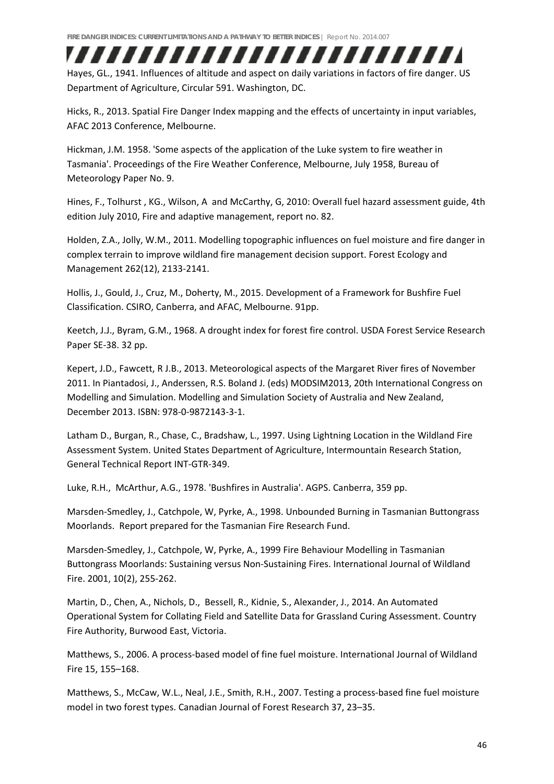### Hayes, GL., 1941. Influences of altitude and aspect on daily variations in factors of fire danger. US Department of Agriculture, Circular 591. Washington, DC.

,,,,,,,,,,,,,,,,,,,,,,,,,

Hicks, R., 2013. Spatial Fire Danger Index mapping and the effects of uncertainty in input variables, AFAC 2013 Conference, Melbourne.

Hickman, J.M. 1958. 'Some aspects of the application of the Luke system to fire weather in Tasmania'. Proceedings of the Fire Weather Conference, Melbourne, July 1958, Bureau of Meteorology Paper No. 9.

Hines, F., Tolhurst , KG., Wilson, A and McCarthy, G, 2010: Overall fuel hazard assessment guide, 4th edition July 2010, Fire and adaptive management, report no. 82.

Holden, Z.A., Jolly, W.M., 2011. Modelling topographic influences on fuel moisture and fire danger in complex terrain to improve wildland fire management decision support. Forest Ecology and Management 262(12), 2133‐2141.

Hollis, J., Gould, J., Cruz, M., Doherty, M., 2015. Development of a Framework for Bushfire Fuel Classification. CSIRO, Canberra, and AFAC, Melbourne. 91pp.

Keetch, J.J., Byram, G.M., 1968. A drought index for forest fire control. USDA Forest Service Research Paper SE‐38. 32 pp.

Kepert, J.D., Fawcett, R J.B., 2013. Meteorological aspects of the Margaret River fires of November 2011. In Piantadosi, J., Anderssen, R.S. Boland J. (eds) MODSIM2013, 20th International Congress on Modelling and Simulation. Modelling and Simulation Society of Australia and New Zealand, December 2013. ISBN: 978‐0‐9872143‐3‐1.

Latham D., Burgan, R., Chase, C., Bradshaw, L., 1997. Using Lightning Location in the Wildland Fire Assessment System. United States Department of Agriculture, Intermountain Research Station, General Technical Report INT‐GTR‐349.

Luke, R.H., McArthur, A.G., 1978. 'Bushfires in Australia'. AGPS. Canberra, 359 pp.

Marsden‐Smedley, J., Catchpole, W, Pyrke, A., 1998. Unbounded Burning in Tasmanian Buttongrass Moorlands. Report prepared for the Tasmanian Fire Research Fund.

Marsden‐Smedley, J., Catchpole, W, Pyrke, A., 1999 Fire Behaviour Modelling in Tasmanian Buttongrass Moorlands: Sustaining versus Non‐Sustaining Fires. International Journal of Wildland Fire. 2001, 10(2), 255‐262.

Martin, D., Chen, A., Nichols, D., Bessell, R., Kidnie, S., Alexander, J., 2014. An Automated Operational System for Collating Field and Satellite Data for Grassland Curing Assessment. Country Fire Authority, Burwood East, Victoria.

Matthews, S., 2006. A process‐based model of fine fuel moisture. International Journal of Wildland Fire 15, 155–168.

Matthews, S., McCaw, W.L., Neal, J.E., Smith, R.H., 2007. Testing a process-based fine fuel moisture model in two forest types. Canadian Journal of Forest Research 37, 23–35.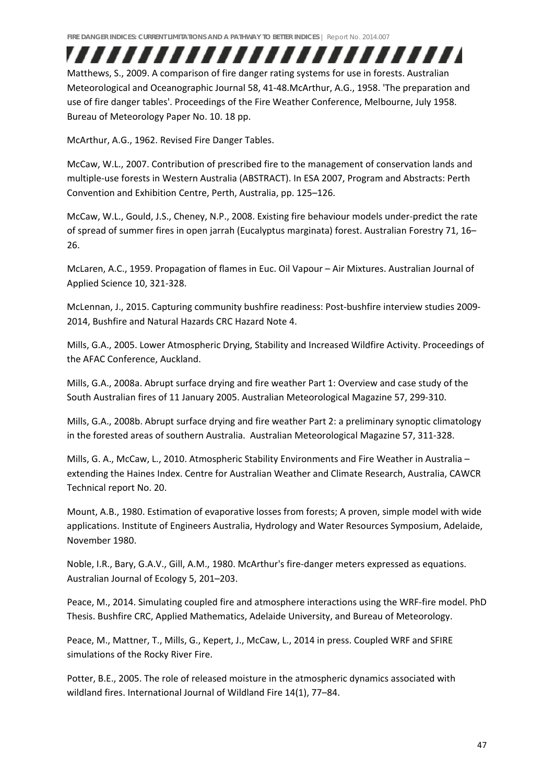,,,,,,,,,,,,,,,,,,,,,,,,, Matthews, S., 2009. A comparison of fire danger rating systems for use in forests. Australian Meteorological and Oceanographic Journal 58, 41‐48.McArthur, A.G., 1958. 'The preparation and use of fire danger tables'. Proceedings of the Fire Weather Conference, Melbourne, July 1958. Bureau of Meteorology Paper No. 10. 18 pp.

McArthur, A.G., 1962. Revised Fire Danger Tables.

McCaw, W.L., 2007. Contribution of prescribed fire to the management of conservation lands and multiple‐use forests in Western Australia (ABSTRACT). In ESA 2007, Program and Abstracts: Perth Convention and Exhibition Centre, Perth, Australia, pp. 125–126.

McCaw, W.L., Gould, J.S., Cheney, N.P., 2008. Existing fire behaviour models under‐predict the rate of spread of summer fires in open jarrah (Eucalyptus marginata) forest. Australian Forestry 71, 16– 26.

McLaren, A.C., 1959. Propagation of flames in Euc. Oil Vapour – Air Mixtures. Australian Journal of Applied Science 10, 321‐328.

McLennan, J., 2015. Capturing community bushfire readiness: Post‐bushfire interview studies 2009‐ 2014, Bushfire and Natural Hazards CRC Hazard Note 4.

Mills, G.A., 2005. Lower Atmospheric Drying, Stability and Increased Wildfire Activity. Proceedings of the AFAC Conference, Auckland.

Mills, G.A., 2008a. Abrupt surface drying and fire weather Part 1: Overview and case study of the South Australian fires of 11 January 2005. Australian Meteorological Magazine 57, 299‐310.

Mills, G.A., 2008b. Abrupt surface drying and fire weather Part 2: a preliminary synoptic climatology in the forested areas of southern Australia. Australian Meteorological Magazine 57, 311‐328.

Mills, G. A., McCaw, L., 2010. Atmospheric Stability Environments and Fire Weather in Australia – extending the Haines Index. Centre for Australian Weather and Climate Research, Australia, CAWCR Technical report No. 20.

Mount, A.B., 1980. Estimation of evaporative losses from forests; A proven, simple model with wide applications. Institute of Engineers Australia, Hydrology and Water Resources Symposium, Adelaide, November 1980.

Noble, I.R., Bary, G.A.V., Gill, A.M., 1980. McArthur's fire‐danger meters expressed as equations. Australian Journal of Ecology 5, 201–203.

Peace, M., 2014. Simulating coupled fire and atmosphere interactions using the WRF‐fire model. PhD Thesis. Bushfire CRC, Applied Mathematics, Adelaide University, and Bureau of Meteorology.

Peace, M., Mattner, T., Mills, G., Kepert, J., McCaw, L., 2014 in press. Coupled WRF and SFIRE simulations of the Rocky River Fire.

Potter, B.E., 2005. The role of released moisture in the atmospheric dynamics associated with wildland fires. International Journal of Wildland Fire 14(1), 77–84.